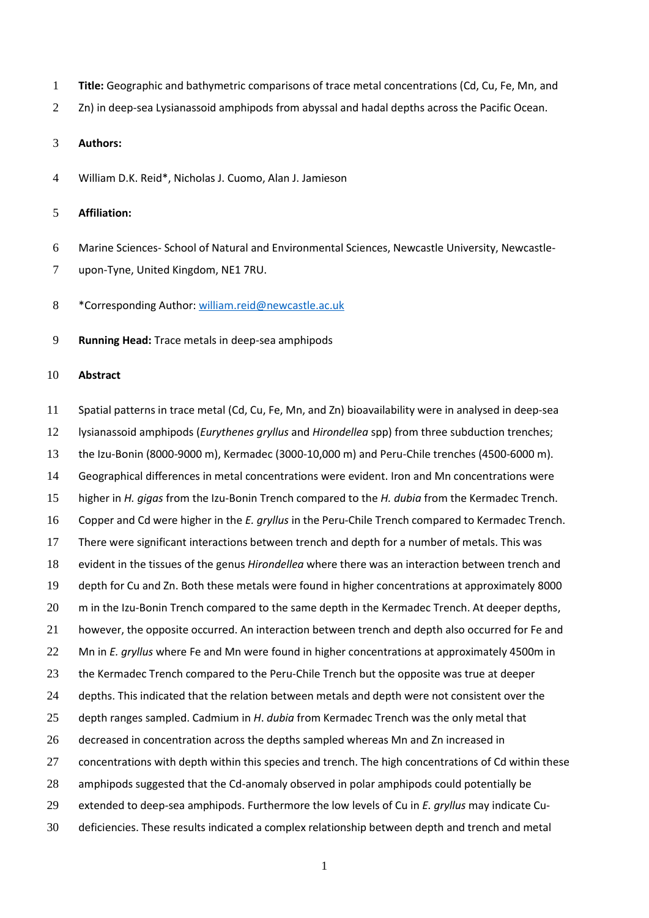- **Title:** Geographic and bathymetric comparisons of trace metal concentrations (Cd, Cu, Fe, Mn, and
- Zn) in deep-sea Lysianassoid amphipods from abyssal and hadal depths across the Pacific Ocean.

### **Authors:**

William D.K. Reid\*, Nicholas J. Cuomo, Alan J. Jamieson

# **Affiliation:**

- Marine Sciences- School of Natural and Environmental Sciences, Newcastle University, Newcastle-upon-Tyne, United Kingdom, NE1 7RU.
- \*Corresponding Author: [william.reid@newcastle.ac.uk](mailto:william.reid@newcastle.ac.uk)
- **Running Head:** Trace metals in deep-sea amphipods

# **Abstract**

 Spatial patterns in trace metal (Cd, Cu, Fe, Mn, and Zn) bioavailability were in analysed in deep-sea lysianassoid amphipods (*Eurythenes gryllus* and *Hirondellea* spp) from three subduction trenches; the Izu-Bonin (8000-9000 m), Kermadec (3000-10,000 m) and Peru-Chile trenches (4500-6000 m). Geographical differences in metal concentrations were evident. Iron and Mn concentrations were higher in *H. gigas* from the Izu-Bonin Trench compared to the *H. dubia* from the Kermadec Trench. Copper and Cd were higher in the *E. gryllus* in the Peru-Chile Trench compared to Kermadec Trench. There were significant interactions between trench and depth for a number of metals. This was evident in the tissues of the genus *Hirondellea* where there was an interaction between trench and depth for Cu and Zn. Both these metals were found in higher concentrations at approximately 8000 20 m in the Izu-Bonin Trench compared to the same depth in the Kermadec Trench. At deeper depths, however, the opposite occurred. An interaction between trench and depth also occurred for Fe and Mn in *E. gryllus* where Fe and Mn were found in higher concentrations at approximately 4500m in 23 the Kermadec Trench compared to the Peru-Chile Trench but the opposite was true at deeper 24 depths. This indicated that the relation between metals and depth were not consistent over the depth ranges sampled. Cadmium in *H*. *dubia* from Kermadec Trench was the only metal that decreased in concentration across the depths sampled whereas Mn and Zn increased in concentrations with depth within this species and trench. The high concentrations of Cd within these amphipods suggested that the Cd-anomaly observed in polar amphipods could potentially be extended to deep-sea amphipods. Furthermore the low levels of Cu in *E. gryllus* may indicate Cu-deficiencies. These results indicated a complex relationship between depth and trench and metal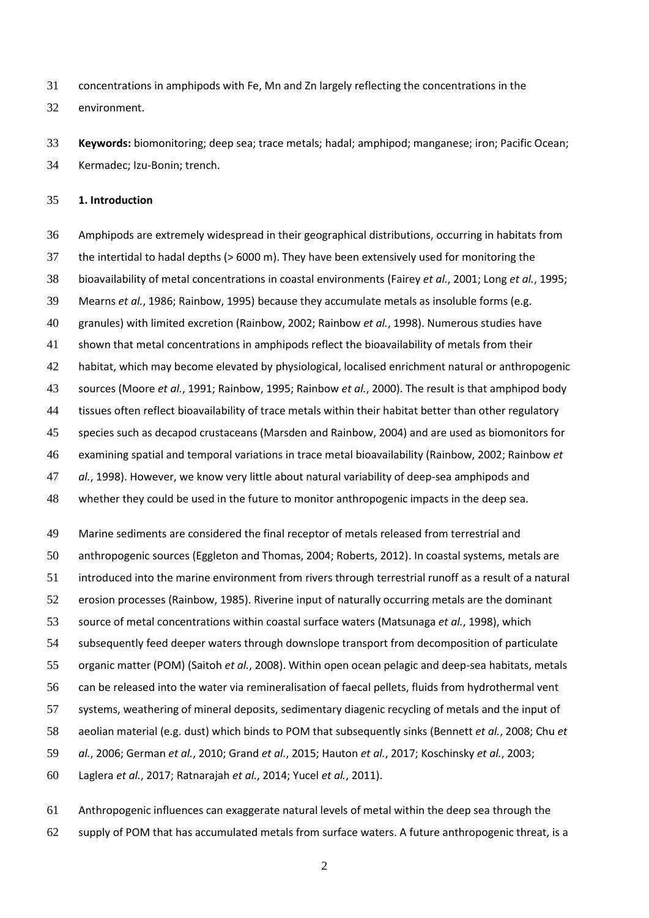- concentrations in amphipods with Fe, Mn and Zn largely reflecting the concentrations in the
- environment.

 **Keywords:** biomonitoring; deep sea; trace metals; hadal; amphipod; manganese; iron; Pacific Ocean; Kermadec; Izu-Bonin; trench.

### **1. Introduction**

 Amphipods are extremely widespread in their geographical distributions, occurring in habitats from the intertidal to hadal depths (> 6000 m). They have been extensively used for monitoring the bioavailability of metal concentrations in coastal environments (Fairey *et al.*, 2001; Long *et al.*, 1995; Mearns *et al.*, 1986; Rainbow, 1995) because they accumulate metals as insoluble forms (e.g. granules) with limited excretion (Rainbow, 2002; Rainbow *et al.*, 1998). Numerous studies have shown that metal concentrations in amphipods reflect the bioavailability of metals from their habitat, which may become elevated by physiological, localised enrichment natural or anthropogenic sources (Moore *et al.*, 1991; Rainbow, 1995; Rainbow *et al.*, 2000). The result is that amphipod body tissues often reflect bioavailability of trace metals within their habitat better than other regulatory species such as decapod crustaceans (Marsden and Rainbow, 2004) and are used as biomonitors for examining spatial and temporal variations in trace metal bioavailability (Rainbow, 2002; Rainbow *et al.*, 1998). However, we know very little about natural variability of deep-sea amphipods and whether they could be used in the future to monitor anthropogenic impacts in the deep sea.

 Marine sediments are considered the final receptor of metals released from terrestrial and anthropogenic sources (Eggleton and Thomas, 2004; Roberts, 2012). In coastal systems, metals are introduced into the marine environment from rivers through terrestrial runoff as a result of a natural erosion processes (Rainbow, 1985). Riverine input of naturally occurring metals are the dominant source of metal concentrations within coastal surface waters (Matsunaga *et al.*, 1998), which subsequently feed deeper waters through downslope transport from decomposition of particulate organic matter (POM) (Saitoh *et al.*, 2008). Within open ocean pelagic and deep-sea habitats, metals can be released into the water via remineralisation of faecal pellets, fluids from hydrothermal vent systems, weathering of mineral deposits, sedimentary diagenic recycling of metals and the input of aeolian material (e.g. dust) which binds to POM that subsequently sinks (Bennett *et al.*, 2008; Chu *et al.*, 2006; German *et al.*, 2010; Grand *et al.*, 2015; Hauton *et al.*, 2017; Koschinsky *et al.*, 2003; Laglera *et al.*, 2017; Ratnarajah *et al.*, 2014; Yucel *et al.*, 2011).

 Anthropogenic influences can exaggerate natural levels of metal within the deep sea through the supply of POM that has accumulated metals from surface waters. A future anthropogenic threat, is a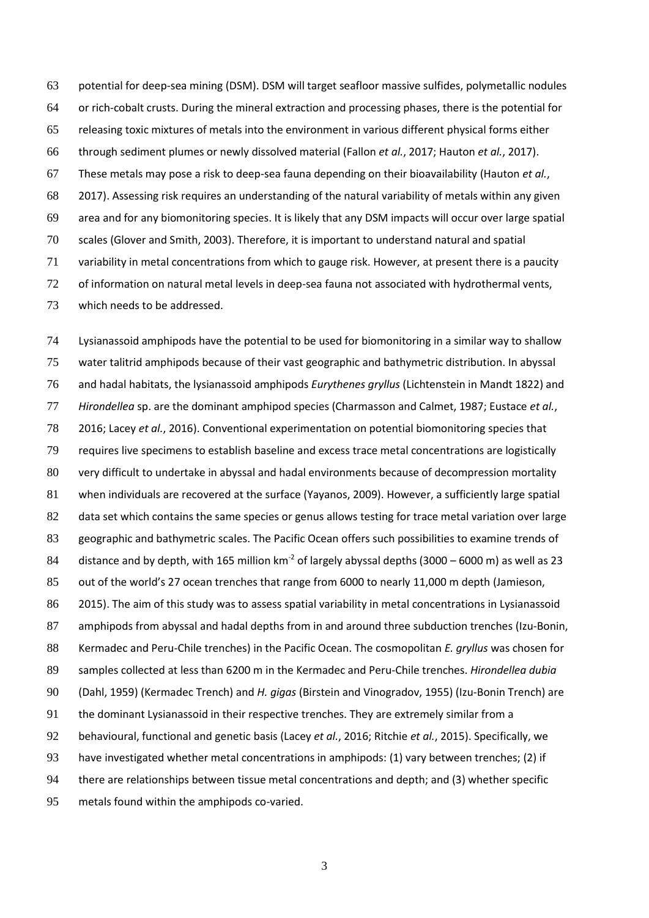potential for deep-sea mining (DSM). DSM will target seafloor massive sulfides, polymetallic nodules or rich-cobalt crusts. During the mineral extraction and processing phases, there is the potential for releasing toxic mixtures of metals into the environment in various different physical forms either through sediment plumes or newly dissolved material (Fallon *et al.*, 2017; Hauton *et al.*, 2017). These metals may pose a risk to deep-sea fauna depending on their bioavailability (Hauton *et al.*, 2017). Assessing risk requires an understanding of the natural variability of metals within any given area and for any biomonitoring species. It is likely that any DSM impacts will occur over large spatial scales (Glover and Smith, 2003). Therefore, it is important to understand natural and spatial variability in metal concentrations from which to gauge risk. However, at present there is a paucity of information on natural metal levels in deep-sea fauna not associated with hydrothermal vents, which needs to be addressed.

 Lysianassoid amphipods have the potential to be used for biomonitoring in a similar way to shallow water talitrid amphipods because of their vast geographic and bathymetric distribution. In abyssal and hadal habitats, the lysianassoid amphipods *Eurythenes gryllus* (Lichtenstein in Mandt 1822) and *Hirondellea* sp. are the dominant amphipod species (Charmasson and Calmet, 1987; Eustace *et al.*, 2016; Lacey *et al.*, 2016). Conventional experimentation on potential biomonitoring species that requires live specimens to establish baseline and excess trace metal concentrations are logistically very difficult to undertake in abyssal and hadal environments because of decompression mortality when individuals are recovered at the surface (Yayanos, 2009). However, a sufficiently large spatial 82 data set which contains the same species or genus allows testing for trace metal variation over large geographic and bathymetric scales. The Pacific Ocean offers such possibilities to examine trends of 84 distance and by depth, with 165 million  $km^{-2}$  of largely abyssal depths (3000 – 6000 m) as well as 23 out of the world's 27 ocean trenches that range from 6000 to nearly 11,000 m depth (Jamieson, 2015). The aim of this study was to assess spatial variability in metal concentrations in Lysianassoid amphipods from abyssal and hadal depths from in and around three subduction trenches (Izu-Bonin, Kermadec and Peru-Chile trenches) in the Pacific Ocean. The cosmopolitan *E. gryllus* was chosen for samples collected at less than 6200 m in the Kermadec and Peru-Chile trenches. *Hirondellea dubia* (Dahl, 1959) (Kermadec Trench) and *H. gigas* (Birstein and Vinogradov, 1955) (Izu-Bonin Trench) are 91 the dominant Lysianassoid in their respective trenches. They are extremely similar from a behavioural, functional and genetic basis (Lacey *et al.*, 2016; Ritchie *et al.*, 2015). Specifically, we have investigated whether metal concentrations in amphipods: (1) vary between trenches; (2) if there are relationships between tissue metal concentrations and depth; and (3) whether specific metals found within the amphipods co-varied.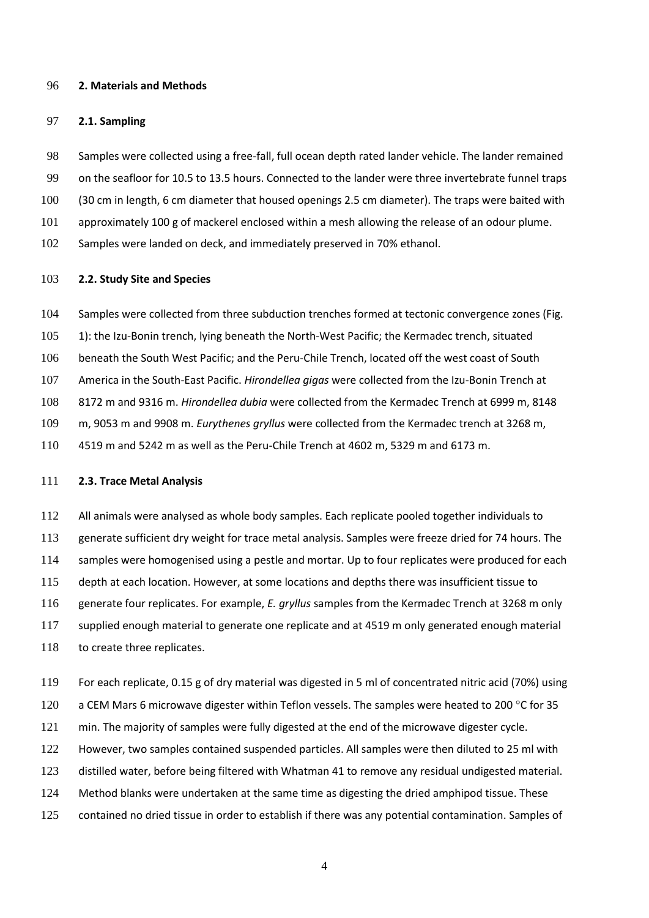#### **2. Materials and Methods**

### **2.1. Sampling**

Samples were collected using a free-fall, full ocean depth rated lander vehicle. The lander remained

on the seafloor for 10.5 to 13.5 hours. Connected to the lander were three invertebrate funnel traps

(30 cm in length, 6 cm diameter that housed openings 2.5 cm diameter). The traps were baited with

approximately 100 g of mackerel enclosed within a mesh allowing the release of an odour plume.

Samples were landed on deck, and immediately preserved in 70% ethanol.

### **2.2. Study Site and Species**

Samples were collected from three subduction trenches formed at tectonic convergence zones (Fig.

1): the Izu-Bonin trench, lying beneath the North-West Pacific; the Kermadec trench, situated

beneath the South West Pacific; and the Peru-Chile Trench, located off the west coast of South

America in the South-East Pacific. *Hirondellea gigas* were collected from the Izu-Bonin Trench at

8172 m and 9316 m. *Hirondellea dubia* were collected from the Kermadec Trench at 6999 m, 8148

m, 9053 m and 9908 m. *Eurythenes gryllus* were collected from the Kermadec trench at 3268 m,

4519 m and 5242 m as well as the Peru-Chile Trench at 4602 m, 5329 m and 6173 m.

#### **2.3. Trace Metal Analysis**

 All animals were analysed as whole body samples. Each replicate pooled together individuals to generate sufficient dry weight for trace metal analysis. Samples were freeze dried for 74 hours. The 114 samples were homogenised using a pestle and mortar. Up to four replicates were produced for each depth at each location. However, at some locations and depths there was insufficient tissue to generate four replicates. For example, *E. gryllus* samples from the Kermadec Trench at 3268 m only supplied enough material to generate one replicate and at 4519 m only generated enough material 118 to create three replicates.

 For each replicate, 0.15 g of dry material was digested in 5 ml of concentrated nitric acid (70%) using 120 a CEM Mars 6 microwave digester within Teflon vessels. The samples were heated to 200 °C for 35 min. The majority of samples were fully digested at the end of the microwave digester cycle. However, two samples contained suspended particles. All samples were then diluted to 25 ml with distilled water, before being filtered with Whatman 41 to remove any residual undigested material. Method blanks were undertaken at the same time as digesting the dried amphipod tissue. These

contained no dried tissue in order to establish if there was any potential contamination. Samples of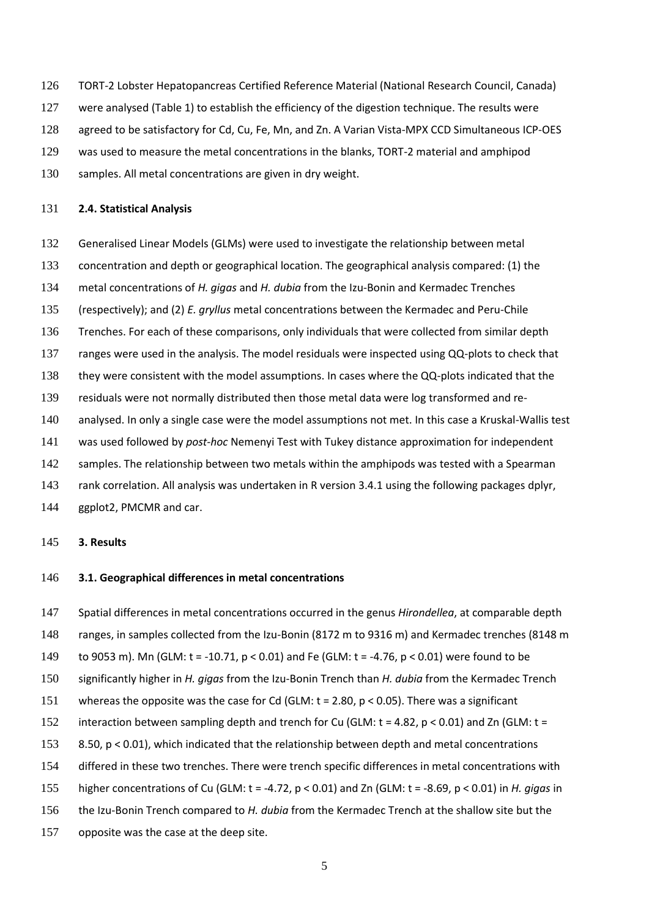- TORT-2 Lobster Hepatopancreas Certified Reference Material (National Research Council, Canada)
- were analysed (Table 1) to establish the efficiency of the digestion technique. The results were
- agreed to be satisfactory for Cd, Cu, Fe, Mn, and Zn. A Varian Vista-MPX CCD Simultaneous ICP-OES
- was used to measure the metal concentrations in the blanks, TORT-2 material and amphipod
- samples. All metal concentrations are given in dry weight.

## **2.4. Statistical Analysis**

 Generalised Linear Models (GLMs) were used to investigate the relationship between metal concentration and depth or geographical location. The geographical analysis compared: (1) the metal concentrations of *H. gigas* and *H. dubia* from the Izu-Bonin and Kermadec Trenches (respectively); and (2) *E. gryllus* metal concentrations between the Kermadec and Peru-Chile Trenches. For each of these comparisons, only individuals that were collected from similar depth ranges were used in the analysis. The model residuals were inspected using QQ-plots to check that they were consistent with the model assumptions. In cases where the QQ-plots indicated that the residuals were not normally distributed then those metal data were log transformed and re-140 analysed. In only a single case were the model assumptions not met. In this case a Kruskal-Wallis test was used followed by *post-hoc* Nemenyi Test with Tukey distance approximation for independent 142 samples. The relationship between two metals within the amphipods was tested with a Spearman rank correlation. All analysis was undertaken in R version 3.4.1 using the following packages dplyr, ggplot2, PMCMR and car.

# **3. Results**

### **3.1. Geographical differences in metal concentrations**

- Spatial differences in metal concentrations occurred in the genus *Hirondellea*, at comparable depth
- ranges, in samples collected from the Izu-Bonin (8172 m to 9316 m) and Kermadec trenches (8148 m
- to 9053 m). Mn (GLM: t = -10.71, p < 0.01) and Fe (GLM: t = -4.76, p < 0.01) were found to be
- significantly higher in *H. gigas* from the Izu-Bonin Trench than *H. dubia* from the Kermadec Trench
- 151 whereas the opposite was the case for Cd (GLM:  $t = 2.80$ ,  $p < 0.05$ ). There was a significant
- 152 interaction between sampling depth and trench for Cu (GLM:  $t = 4.82$ ,  $p < 0.01$ ) and Zn (GLM:  $t =$
- 8.50, p < 0.01), which indicated that the relationship between depth and metal concentrations
- differed in these two trenches. There were trench specific differences in metal concentrations with
- higher concentrations of Cu (GLM: t = -4.72, p < 0.01) and Zn (GLM: t = -8.69, p < 0.01) in *H. gigas* in
- the Izu-Bonin Trench compared to *H. dubia* from the Kermadec Trench at the shallow site but the
- opposite was the case at the deep site.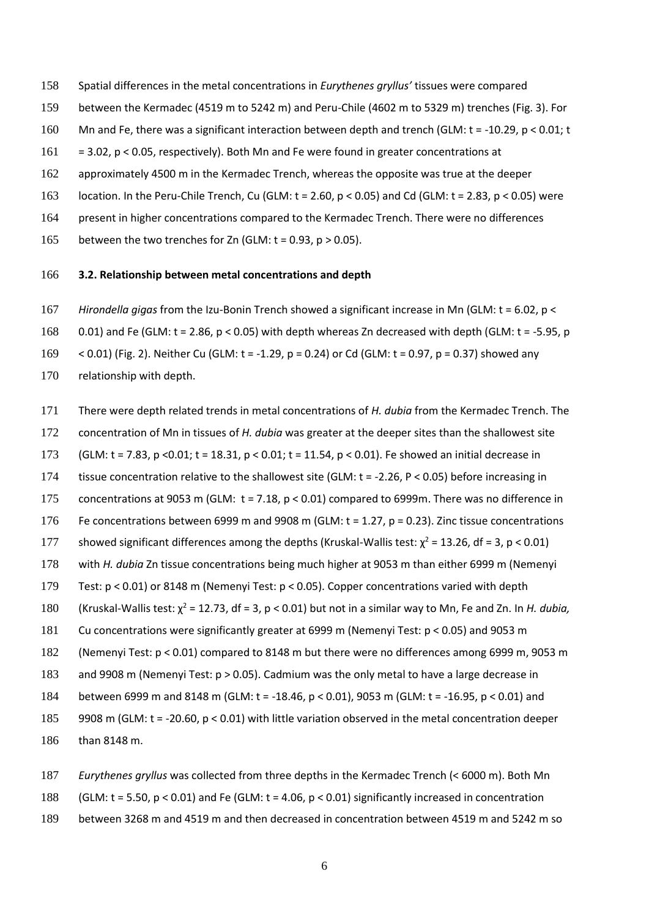- Spatial differences in the metal concentrations in *Eurythenes gryllus'* tissues were compared
- between the Kermadec (4519 m to 5242 m) and Peru-Chile (4602 m to 5329 m) trenches (Fig. 3). For
- 160 Mn and Fe, there was a significant interaction between depth and trench (GLM: t = -10.29, p < 0.01; t
- = 3.02, p < 0.05, respectively). Both Mn and Fe were found in greater concentrations at
- approximately 4500 m in the Kermadec Trench, whereas the opposite was true at the deeper
- location. In the Peru-Chile Trench, Cu (GLM: t = 2.60, p < 0.05) and Cd (GLM: t = 2.83, p < 0.05) were
- present in higher concentrations compared to the Kermadec Trench. There were no differences
- 165 between the two trenches for Zn (GLM:  $t = 0.93$ ,  $p > 0.05$ ).

### **3.2. Relationship between metal concentrations and depth**

- *Hirondella gigas* from the Izu-Bonin Trench showed a significant increase in Mn (GLM: t = 6.02, p <
- 0.01) and Fe (GLM: t = 2.86, p < 0.05) with depth whereas Zn decreased with depth (GLM: t = -5.95, p
- < 0.01) (Fig. 2). Neither Cu (GLM: t = -1.29, p = 0.24) or Cd (GLM: t = 0.97, p = 0.37) showed any
- 170 relationship with depth.
- There were depth related trends in metal concentrations of *H. dubia* from the Kermadec Trench. The
- concentration of Mn in tissues of *H. dubia* was greater at the deeper sites than the shallowest site
- (GLM: t = 7.83, p <0.01; t = 18.31, p < 0.01; t = 11.54, p < 0.01). Fe showed an initial decrease in
- tissue concentration relative to the shallowest site (GLM: t = -2.26, P < 0.05) before increasing in
- concentrations at 9053 m (GLM: t = 7.18, p < 0.01) compared to 6999m. There was no difference in
- Fe concentrations between 6999 m and 9908 m (GLM: t = 1.27, p = 0.23). Zinc tissue concentrations
- 177 showed significant differences among the depths (Kruskal-Wallis test:  $\chi^2$  = 13.26, df = 3, p < 0.01)
- with *H. dubia* Zn tissue concentrations being much higher at 9053 m than either 6999 m (Nemenyi
- Test: p < 0.01) or 8148 m (Nemenyi Test: p < 0.05). Copper concentrations varied with depth
- 180 (Kruskal-Wallis test: χ<sup>2</sup> = 12.73, df = 3, p < 0.01) but not in a similar way to Mn, Fe and Zn. In *H. dubia,*
- Cu concentrations were significantly greater at 6999 m (Nemenyi Test: p < 0.05) and 9053 m
- (Nemenyi Test: p < 0.01) compared to 8148 m but there were no differences among 6999 m, 9053 m
- and 9908 m (Nemenyi Test: p > 0.05). Cadmium was the only metal to have a large decrease in
- between 6999 m and 8148 m (GLM: t = -18.46, p < 0.01), 9053 m (GLM: t = -16.95, p < 0.01) and
- 9908 m (GLM: t = -20.60, p < 0.01) with little variation observed in the metal concentration deeper than 8148 m.
- *Eurythenes gryllus* was collected from three depths in the Kermadec Trench (< 6000 m). Both Mn
- (GLM: t = 5.50, p < 0.01) and Fe (GLM: t = 4.06, p < 0.01) significantly increased in concentration
- between 3268 m and 4519 m and then decreased in concentration between 4519 m and 5242 m so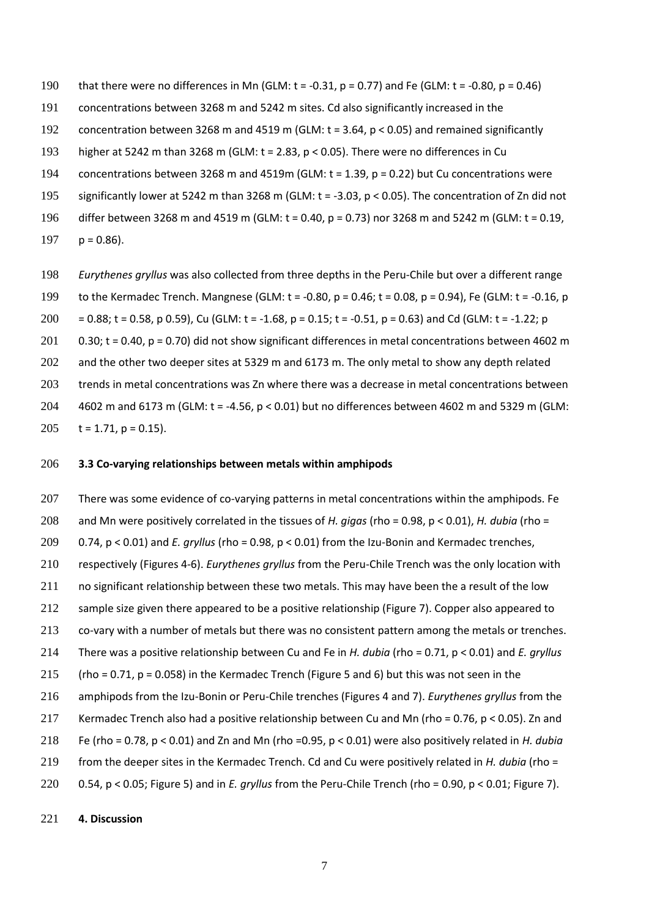190 that there were no differences in Mn (GLM:  $t = -0.31$ ,  $p = 0.77$ ) and Fe (GLM:  $t = -0.80$ ,  $p = 0.46$ ) concentrations between 3268 m and 5242 m sites. Cd also significantly increased in the concentration between 3268 m and 4519 m (GLM: t = 3.64, p < 0.05) and remained significantly 193 higher at 5242 m than 3268 m (GLM:  $t = 2.83$ ,  $p < 0.05$ ). There were no differences in Cu concentrations between 3268 m and 4519m (GLM: t = 1.39, p = 0.22) but Cu concentrations were significantly lower at 5242 m than 3268 m (GLM: t = -3.03, p < 0.05). The concentration of Zn did not differ between 3268 m and 4519 m (GLM: t = 0.40, p = 0.73) nor 3268 m and 5242 m (GLM: t = 0.19, p = 0.86).

 *Eurythenes gryllus* was also collected from three depths in the Peru-Chile but over a different range 199 to the Kermadec Trench. Mangnese (GLM:  $t = -0.80$ ,  $p = 0.46$ ;  $t = 0.08$ ,  $p = 0.94$ ), Fe (GLM:  $t = -0.16$ , p 200 = 0.88; t = 0.58, p 0.59), Cu (GLM: t = -1.68, p = 0.15; t = -0.51, p = 0.63) and Cd (GLM: t = -1.22; p 201 0.30; t = 0.40, p = 0.70) did not show significant differences in metal concentrations between 4602 m and the other two deeper sites at 5329 m and 6173 m. The only metal to show any depth related trends in metal concentrations was Zn where there was a decrease in metal concentrations between 4602 m and 6173 m (GLM: t = -4.56, p < 0.01) but no differences between 4602 m and 5329 m (GLM:  $t = 1.71$ ,  $p = 0.15$ ).

# **3.3 Co-varying relationships between metals within amphipods**

 There was some evidence of co-varying patterns in metal concentrations within the amphipods. Fe and Mn were positively correlated in the tissues of *H. gigas* (rho = 0.98, p < 0.01), *H. dubia* (rho = 0.74, p < 0.01) and *E. gryllus* (rho = 0.98, p < 0.01) from the Izu-Bonin and Kermadec trenches, respectively (Figures 4-6). *Eurythenes gryllus* from the Peru-Chile Trench was the only location with no significant relationship between these two metals. This may have been the a result of the low sample size given there appeared to be a positive relationship (Figure 7). Copper also appeared to co-vary with a number of metals but there was no consistent pattern among the metals or trenches. There was a positive relationship between Cu and Fe in *H. dubia* (rho = 0.71, p < 0.01) and *E. gryllus*  (rho = 0.71, p = 0.058) in the Kermadec Trench (Figure 5 and 6) but this was not seen in the amphipods from the Izu-Bonin or Peru-Chile trenches (Figures 4 and 7). *Eurythenes gryllus* from the Kermadec Trench also had a positive relationship between Cu and Mn (rho = 0.76, p < 0.05). Zn and Fe (rho = 0.78, p < 0.01) and Zn and Mn (rho =0.95, p < 0.01) were also positively related in *H. dubia* from the deeper sites in the Kermadec Trench. Cd and Cu were positively related in *H. dubia* (rho = 0.54, p < 0.05; Figure 5) and in *E. gryllus* from the Peru-Chile Trench (rho = 0.90, p < 0.01; Figure 7).

# **4. Discussion**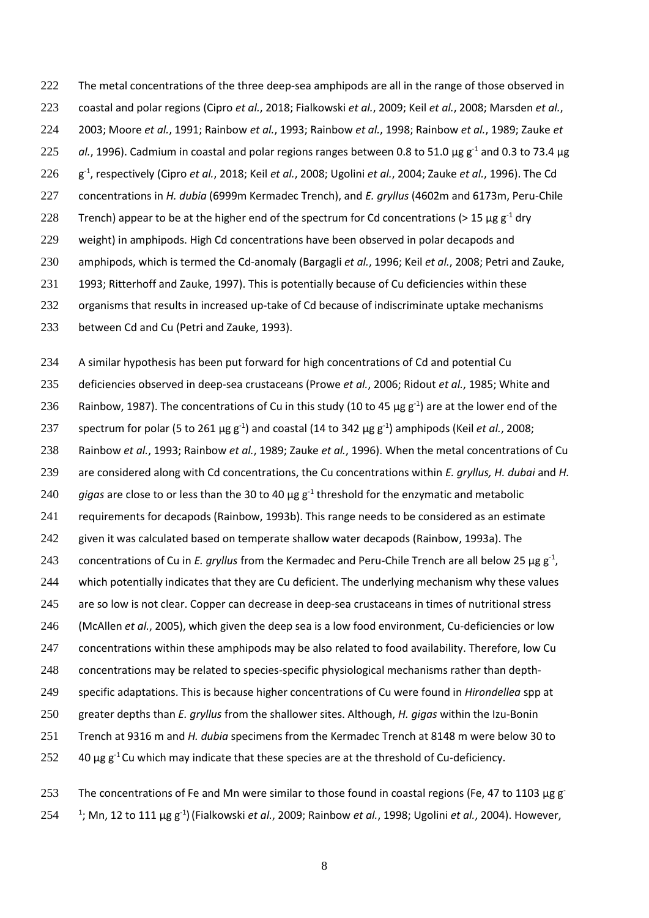The metal concentrations of the three deep-sea amphipods are all in the range of those observed in coastal and polar regions (Cipro *et al.*, 2018; Fialkowski *et al.*, 2009; Keil *et al.*, 2008; Marsden *et al.*, 2003; Moore *et al.*, 1991; Rainbow *et al.*, 1993; Rainbow *et al.*, 1998; Rainbow *et al.*, 1989; Zauke *et*   $a$ l., 1996). Cadmium in coastal and polar regions ranges between 0.8 to 51.0  $\mu$ g g<sup>-1</sup> and 0.3 to 73.4  $\mu$ g g -1 , respectively (Cipro *et al.*, 2018; Keil *et al.*, 2008; Ugolini *et al.*, 2004; Zauke *et al.*, 1996). The Cd concentrations in *H. dubia* (6999m Kermadec Trench), and *E. gryllus* (4602m and 6173m, Peru-Chile 228 Trench) appear to be at the higher end of the spectrum for Cd concentrations (> 15  $\mu$ g g<sup>-1</sup> dry weight) in amphipods. High Cd concentrations have been observed in polar decapods and amphipods, which is termed the Cd-anomaly (Bargagli *et al.*, 1996; Keil *et al.*, 2008; Petri and Zauke, 1993; Ritterhoff and Zauke, 1997). This is potentially because of Cu deficiencies within these organisms that results in increased up-take of Cd because of indiscriminate uptake mechanisms

between Cd and Cu (Petri and Zauke, 1993).

 A similar hypothesis has been put forward for high concentrations of Cd and potential Cu deficiencies observed in deep-sea crustaceans (Prowe *et al.*, 2006; Ridout *et al.*, 1985; White and 236 Rainbow, 1987). The concentrations of Cu in this study (10 to 45 µg  $g^{-1}$ ) are at the lower end of the 237 spectrum for polar (5 to 261  $\mu$ g g<sup>-1</sup>) and coastal (14 to 342  $\mu$ g g<sup>-1</sup>) amphipods (Keil *et al.*, 2008; Rainbow *et al.*, 1993; Rainbow *et al.*, 1989; Zauke *et al.*, 1996). When the metal concentrations of Cu are considered along with Cd concentrations, the Cu concentrations within *E. gryllus, H. dubai* and *H.*  240 gigas are close to or less than the 30 to 40  $\mu$ g g<sup>-1</sup> threshold for the enzymatic and metabolic requirements for decapods (Rainbow, 1993b). This range needs to be considered as an estimate given it was calculated based on temperate shallow water decapods (Rainbow, 1993a). The 243 concentrations of Cu in *E. gryllus* from the Kermadec and Peru-Chile Trench are all below 25 µg g<sup>-1</sup>, which potentially indicates that they are Cu deficient. The underlying mechanism why these values 245 are so low is not clear. Copper can decrease in deep-sea crustaceans in times of nutritional stress (McAllen *et al.*, 2005), which given the deep sea is a low food environment, Cu-deficiencies or low concentrations within these amphipods may be also related to food availability. Therefore, low Cu concentrations may be related to species-specific physiological mechanisms rather than depth- specific adaptations. This is because higher concentrations of Cu were found in *Hirondellea* spp at greater depths than *E. gryllus* from the shallower sites. Although, *H. gigas* within the Izu-Bonin Trench at 9316 m and *H. dubia* specimens from the Kermadec Trench at 8148 m were below 30 to  $\,$  40  $\mu$ g g<sup>-1</sup> Cu which may indicate that these species are at the threshold of Cu-deficiency.

253 The concentrations of Fe and Mn were similar to those found in coastal regions (Fe, 47 to 1103 µg g-254 <sup>1</sup>; Mn, 12 to 111 μg g<sup>-1</sup>) (Fialkowski *et al.*, 2009; Rainbow *et al.*, 1998; Ugolini *et al.*, 2004). However,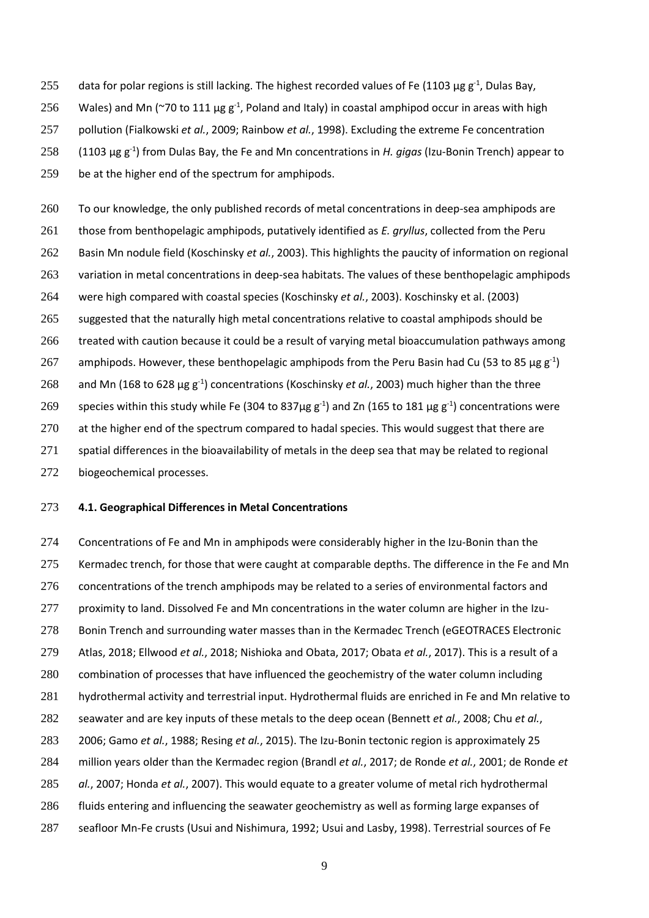- 255 data for polar regions is still lacking. The highest recorded values of Fe (1103  $\mu$ g g<sup>-1</sup>, Dulas Bay,
- 256 Wales) and Mn (~70 to 111  $\mu$ g g<sup>-1</sup>, Poland and Italy) in coastal amphipod occur in areas with high
- pollution (Fialkowski *et al.*, 2009; Rainbow *et al.*, 1998). Excluding the extreme Fe concentration
- (1103 µg g-1 ) from Dulas Bay, the Fe and Mn concentrations in *H. gigas* (Izu-Bonin Trench) appear to
- be at the higher end of the spectrum for amphipods.
- 260 To our knowledge, the only published records of metal concentrations in deep-sea amphipods are those from benthopelagic amphipods, putatively identified as *E. gryllus*, collected from the Peru Basin Mn nodule field (Koschinsky *et al.*, 2003). This highlights the paucity of information on regional variation in metal concentrations in deep-sea habitats. The values of these benthopelagic amphipods were high compared with coastal species (Koschinsky *et al.*, 2003). Koschinsky et al. (2003) suggested that the naturally high metal concentrations relative to coastal amphipods should be treated with caution because it could be a result of varying metal bioaccumulation pathways among 267 amphipods. However, these benthopelagic amphipods from the Peru Basin had Cu (53 to 85 µg  $g^{-1}$ ) 268 and Mn (168 to 628  $\mu$ g g<sup>-1</sup>) concentrations (Koschinsky *et al.*, 2003) much higher than the three 269 species within this study while Fe (304 to 837 $\mu$ g g<sup>-1</sup>) and Zn (165 to 181  $\mu$ g g<sup>-1</sup>) concentrations were 270 at the higher end of the spectrum compared to hadal species. This would suggest that there are spatial differences in the bioavailability of metals in the deep sea that may be related to regional
- biogeochemical processes.

### **4.1. Geographical Differences in Metal Concentrations**

 Concentrations of Fe and Mn in amphipods were considerably higher in the Izu-Bonin than the 275 Kermadec trench, for those that were caught at comparable depths. The difference in the Fe and Mn concentrations of the trench amphipods may be related to a series of environmental factors and 277 proximity to land. Dissolved Fe and Mn concentrations in the water column are higher in the Izu- Bonin Trench and surrounding water masses than in the Kermadec Trench (eGEOTRACES Electronic Atlas, 2018; Ellwood *et al.*, 2018; Nishioka and Obata, 2017; Obata *et al.*, 2017). This is a result of a combination of processes that have influenced the geochemistry of the water column including hydrothermal activity and terrestrial input. Hydrothermal fluids are enriched in Fe and Mn relative to seawater and are key inputs of these metals to the deep ocean (Bennett *et al.*, 2008; Chu *et al.*, 2006; Gamo *et al.*, 1988; Resing *et al.*, 2015). The Izu-Bonin tectonic region is approximately 25 million years older than the Kermadec region (Brandl *et al.*, 2017; de Ronde *et al.*, 2001; de Ronde *et al.*, 2007; Honda *et al.*, 2007). This would equate to a greater volume of metal rich hydrothermal fluids entering and influencing the seawater geochemistry as well as forming large expanses of seafloor Mn-Fe crusts (Usui and Nishimura, 1992; Usui and Lasby, 1998). Terrestrial sources of Fe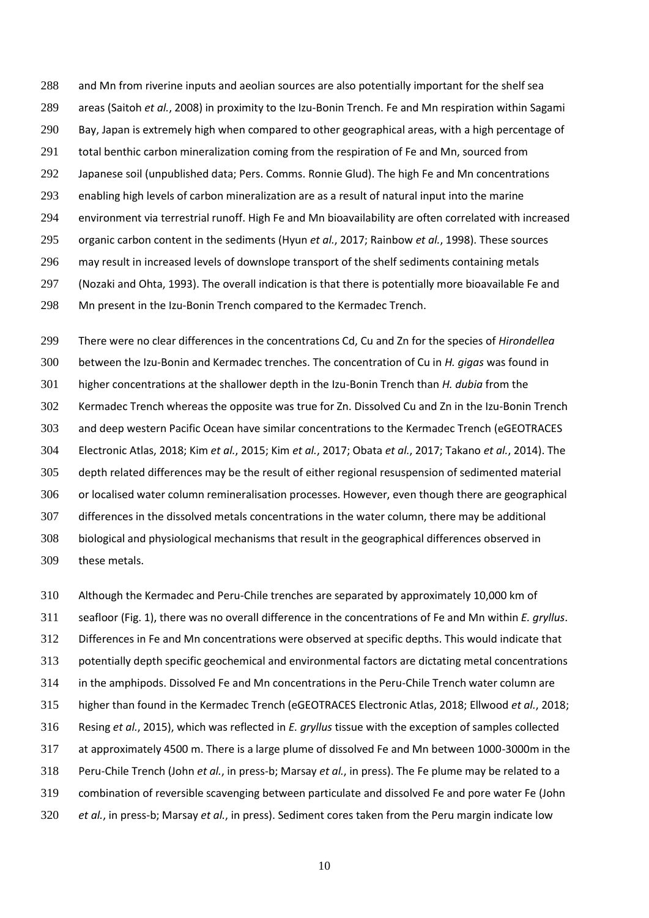and Mn from riverine inputs and aeolian sources are also potentially important for the shelf sea areas (Saitoh *et al.*, 2008) in proximity to the Izu-Bonin Trench. Fe and Mn respiration within Sagami Bay, Japan is extremely high when compared to other geographical areas, with a high percentage of total benthic carbon mineralization coming from the respiration of Fe and Mn, sourced from Japanese soil (unpublished data; Pers. Comms. Ronnie Glud). The high Fe and Mn concentrations enabling high levels of carbon mineralization are as a result of natural input into the marine environment via terrestrial runoff. High Fe and Mn bioavailability are often correlated with increased organic carbon content in the sediments (Hyun *et al.*, 2017; Rainbow *et al.*, 1998). These sources may result in increased levels of downslope transport of the shelf sediments containing metals (Nozaki and Ohta, 1993). The overall indication is that there is potentially more bioavailable Fe and Mn present in the Izu-Bonin Trench compared to the Kermadec Trench.

 There were no clear differences in the concentrations Cd, Cu and Zn for the species of *Hirondellea* between the Izu-Bonin and Kermadec trenches. The concentration of Cu in *H. gigas* was found in higher concentrations at the shallower depth in the Izu-Bonin Trench than *H. dubia* from the Kermadec Trench whereas the opposite was true for Zn. Dissolved Cu and Zn in the Izu-Bonin Trench and deep western Pacific Ocean have similar concentrations to the Kermadec Trench (eGEOTRACES Electronic Atlas, 2018; Kim *et al.*, 2015; Kim *et al.*, 2017; Obata *et al.*, 2017; Takano *et al.*, 2014). The depth related differences may be the result of either regional resuspension of sedimented material or localised water column remineralisation processes. However, even though there are geographical differences in the dissolved metals concentrations in the water column, there may be additional biological and physiological mechanisms that result in the geographical differences observed in these metals.

 Although the Kermadec and Peru-Chile trenches are separated by approximately 10,000 km of seafloor (Fig. 1), there was no overall difference in the concentrations of Fe and Mn within *E. gryllus*. Differences in Fe and Mn concentrations were observed at specific depths. This would indicate that potentially depth specific geochemical and environmental factors are dictating metal concentrations in the amphipods. Dissolved Fe and Mn concentrations in the Peru-Chile Trench water column are higher than found in the Kermadec Trench (eGEOTRACES Electronic Atlas, 2018; Ellwood *et al.*, 2018; Resing *et al.*, 2015), which was reflected in *E. gryllus* tissue with the exception of samples collected at approximately 4500 m. There is a large plume of dissolved Fe and Mn between 1000-3000m in the Peru-Chile Trench (John *et al.*, in press-b; Marsay *et al.*, in press). The Fe plume may be related to a combination of reversible scavenging between particulate and dissolved Fe and pore water Fe (John *et al.*, in press-b; Marsay *et al.*, in press). Sediment cores taken from the Peru margin indicate low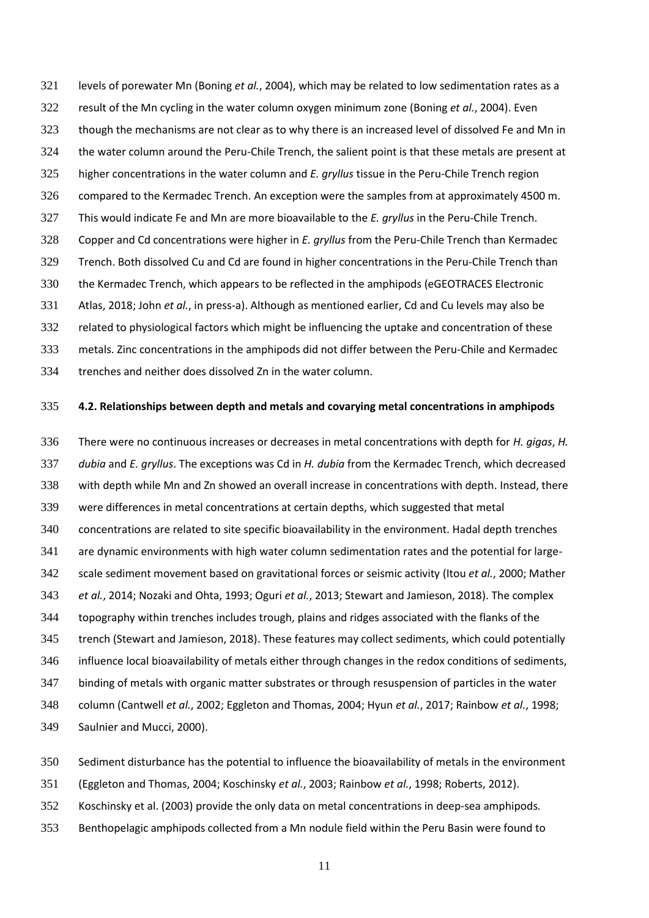levels of porewater Mn (Boning *et al.*, 2004), which may be related to low sedimentation rates as a result of the Mn cycling in the water column oxygen minimum zone (Boning *et al.*, 2004). Even though the mechanisms are not clear as to why there is an increased level of dissolved Fe and Mn in the water column around the Peru-Chile Trench, the salient point is that these metals are present at higher concentrations in the water column and *E. gryllus* tissue in the Peru-Chile Trench region compared to the Kermadec Trench. An exception were the samples from at approximately 4500 m. This would indicate Fe and Mn are more bioavailable to the *E. gryllus* in the Peru-Chile Trench. Copper and Cd concentrations were higher in *E. gryllus* from the Peru-Chile Trench than Kermadec Trench. Both dissolved Cu and Cd are found in higher concentrations in the Peru-Chile Trench than the Kermadec Trench, which appears to be reflected in the amphipods (eGEOTRACES Electronic Atlas, 2018; John *et al.*, in press-a). Although as mentioned earlier, Cd and Cu levels may also be related to physiological factors which might be influencing the uptake and concentration of these metals. Zinc concentrations in the amphipods did not differ between the Peru-Chile and Kermadec trenches and neither does dissolved Zn in the water column.

**4.2. Relationships between depth and metals and covarying metal concentrations in amphipods**

 There were no continuous increases or decreases in metal concentrations with depth for *H. gigas*, *H. dubia* and *E. gryllus*. The exceptions was Cd in *H. dubia* from the Kermadec Trench, which decreased with depth while Mn and Zn showed an overall increase in concentrations with depth. Instead, there were differences in metal concentrations at certain depths, which suggested that metal concentrations are related to site specific bioavailability in the environment. Hadal depth trenches are dynamic environments with high water column sedimentation rates and the potential for large- scale sediment movement based on gravitational forces or seismic activity (Itou *et al.*, 2000; Mather *et al.*, 2014; Nozaki and Ohta, 1993; Oguri *et al.*, 2013; Stewart and Jamieson, 2018). The complex topography within trenches includes trough, plains and ridges associated with the flanks of the trench (Stewart and Jamieson, 2018). These features may collect sediments, which could potentially influence local bioavailability of metals either through changes in the redox conditions of sediments, binding of metals with organic matter substrates or through resuspension of particles in the water column (Cantwell *et al.*, 2002; Eggleton and Thomas, 2004; Hyun *et al.*, 2017; Rainbow *et al.*, 1998; Saulnier and Mucci, 2000).

- Sediment disturbance has the potential to influence the bioavailability of metals in the environment
- (Eggleton and Thomas, 2004; Koschinsky *et al.*, 2003; Rainbow *et al.*, 1998; Roberts, 2012).
- Koschinsky et al. (2003) provide the only data on metal concentrations in deep-sea amphipods*.*
- Benthopelagic amphipods collected from a Mn nodule field within the Peru Basin were found to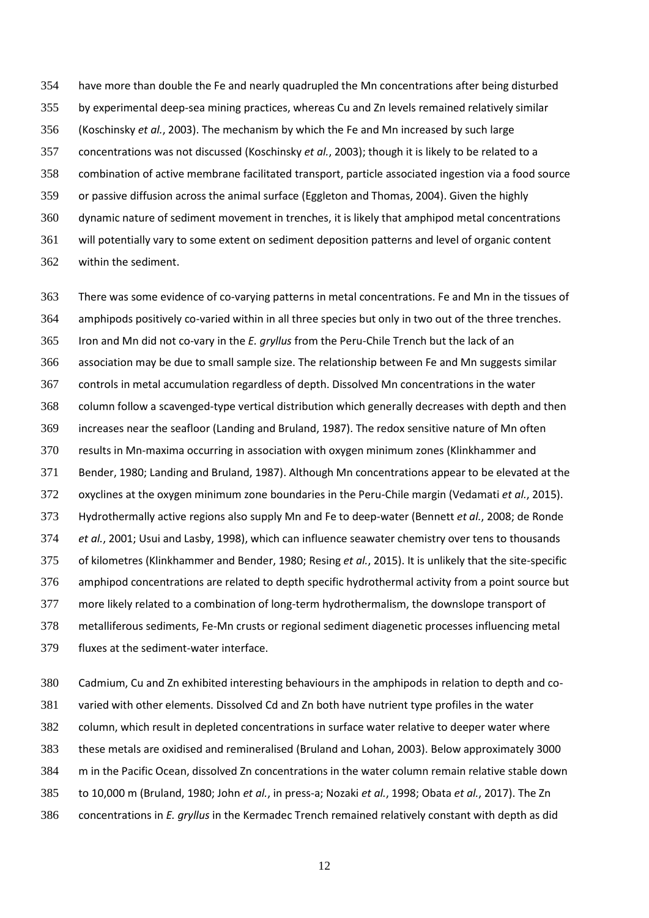have more than double the Fe and nearly quadrupled the Mn concentrations after being disturbed by experimental deep-sea mining practices, whereas Cu and Zn levels remained relatively similar (Koschinsky *et al.*, 2003). The mechanism by which the Fe and Mn increased by such large concentrations was not discussed (Koschinsky *et al.*, 2003); though it is likely to be related to a combination of active membrane facilitated transport, particle associated ingestion via a food source or passive diffusion across the animal surface (Eggleton and Thomas, 2004). Given the highly dynamic nature of sediment movement in trenches, it is likely that amphipod metal concentrations will potentially vary to some extent on sediment deposition patterns and level of organic content within the sediment.

 There was some evidence of co-varying patterns in metal concentrations. Fe and Mn in the tissues of amphipods positively co-varied within in all three species but only in two out of the three trenches. Iron and Mn did not co-vary in the *E. gryllus* from the Peru-Chile Trench but the lack of an association may be due to small sample size. The relationship between Fe and Mn suggests similar controls in metal accumulation regardless of depth. Dissolved Mn concentrations in the water column follow a scavenged-type vertical distribution which generally decreases with depth and then increases near the seafloor (Landing and Bruland, 1987). The redox sensitive nature of Mn often results in Mn-maxima occurring in association with oxygen minimum zones (Klinkhammer and Bender, 1980; Landing and Bruland, 1987). Although Mn concentrations appear to be elevated at the oxyclines at the oxygen minimum zone boundaries in the Peru-Chile margin (Vedamati *et al.*, 2015). Hydrothermally active regions also supply Mn and Fe to deep-water (Bennett *et al.*, 2008; de Ronde *et al.*, 2001; Usui and Lasby, 1998), which can influence seawater chemistry over tens to thousands of kilometres (Klinkhammer and Bender, 1980; Resing *et al.*, 2015). It is unlikely that the site-specific amphipod concentrations are related to depth specific hydrothermal activity from a point source but more likely related to a combination of long-term hydrothermalism, the downslope transport of metalliferous sediments, Fe-Mn crusts or regional sediment diagenetic processes influencing metal fluxes at the sediment-water interface.

 Cadmium, Cu and Zn exhibited interesting behaviours in the amphipods in relation to depth and co- varied with other elements. Dissolved Cd and Zn both have nutrient type profiles in the water column, which result in depleted concentrations in surface water relative to deeper water where these metals are oxidised and remineralised (Bruland and Lohan, 2003). Below approximately 3000 m in the Pacific Ocean, dissolved Zn concentrations in the water column remain relative stable down to 10,000 m (Bruland, 1980; John *et al.*, in press-a; Nozaki *et al.*, 1998; Obata *et al.*, 2017). The Zn concentrations in *E. gryllus* in the Kermadec Trench remained relatively constant with depth as did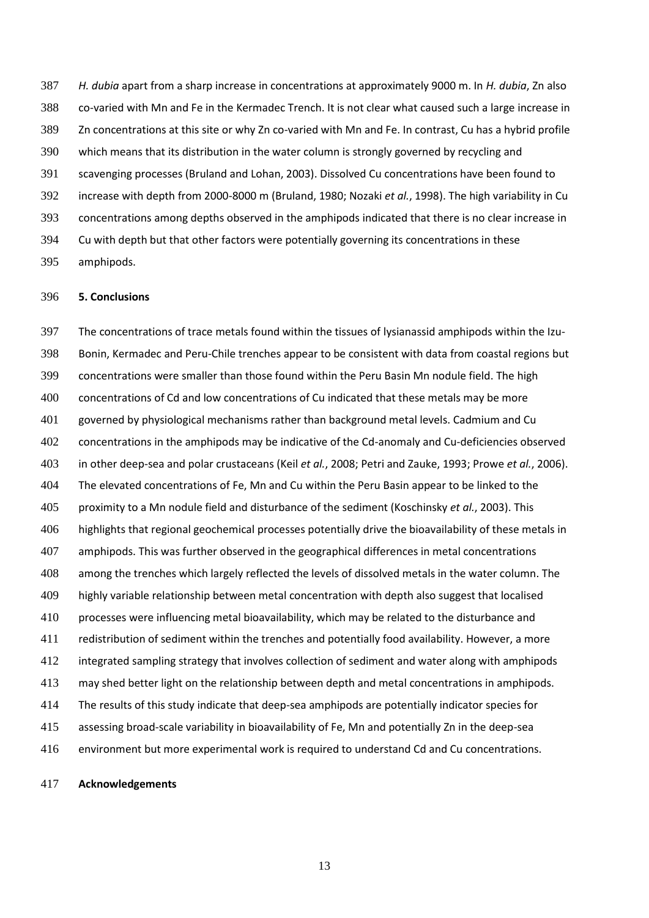*H. dubia* apart from a sharp increase in concentrations at approximately 9000 m. In *H. dubia*, Zn also co-varied with Mn and Fe in the Kermadec Trench. It is not clear what caused such a large increase in Zn concentrations at this site or why Zn co-varied with Mn and Fe. In contrast, Cu has a hybrid profile which means that its distribution in the water column is strongly governed by recycling and scavenging processes (Bruland and Lohan, 2003). Dissolved Cu concentrations have been found to increase with depth from 2000-8000 m (Bruland, 1980; Nozaki *et al.*, 1998). The high variability in Cu concentrations among depths observed in the amphipods indicated that there is no clear increase in Cu with depth but that other factors were potentially governing its concentrations in these amphipods.

#### **5. Conclusions**

 The concentrations of trace metals found within the tissues of lysianassid amphipods within the Izu- Bonin, Kermadec and Peru-Chile trenches appear to be consistent with data from coastal regions but concentrations were smaller than those found within the Peru Basin Mn nodule field. The high concentrations of Cd and low concentrations of Cu indicated that these metals may be more governed by physiological mechanisms rather than background metal levels. Cadmium and Cu concentrations in the amphipods may be indicative of the Cd-anomaly and Cu-deficiencies observed in other deep-sea and polar crustaceans (Keil *et al.*, 2008; Petri and Zauke, 1993; Prowe *et al.*, 2006). The elevated concentrations of Fe, Mn and Cu within the Peru Basin appear to be linked to the proximity to a Mn nodule field and disturbance of the sediment (Koschinsky *et al.*, 2003). This highlights that regional geochemical processes potentially drive the bioavailability of these metals in amphipods. This was further observed in the geographical differences in metal concentrations among the trenches which largely reflected the levels of dissolved metals in the water column. The highly variable relationship between metal concentration with depth also suggest that localised processes were influencing metal bioavailability, which may be related to the disturbance and redistribution of sediment within the trenches and potentially food availability. However, a more integrated sampling strategy that involves collection of sediment and water along with amphipods may shed better light on the relationship between depth and metal concentrations in amphipods. The results of this study indicate that deep-sea amphipods are potentially indicator species for assessing broad-scale variability in bioavailability of Fe, Mn and potentially Zn in the deep-sea environment but more experimental work is required to understand Cd and Cu concentrations.

#### **Acknowledgements**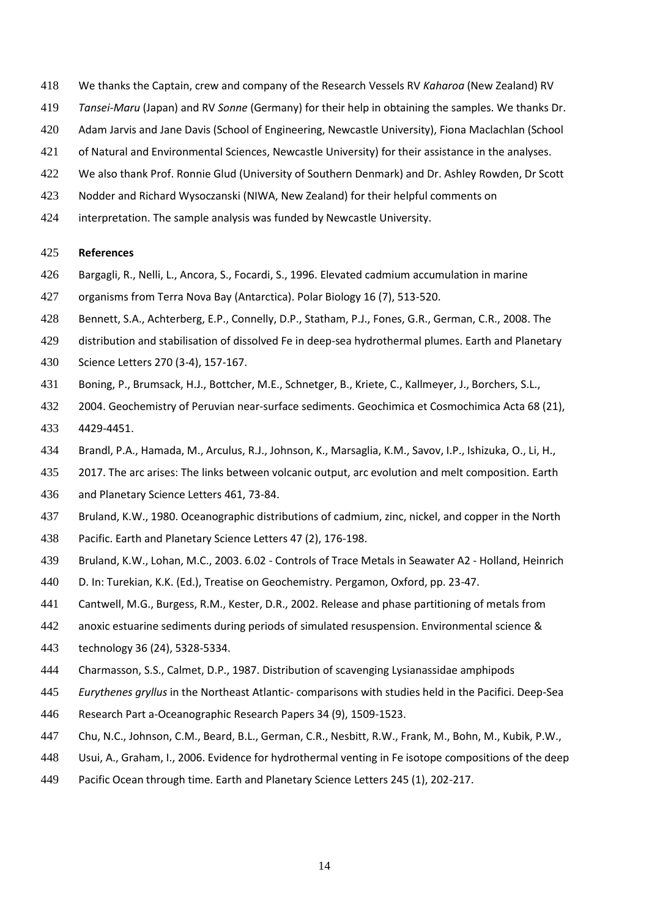- We thanks the Captain, crew and company of the Research Vessels RV *Kaharoa* (New Zealand) RV
- *Tansei-Maru* (Japan) and RV *Sonne* (Germany) for their help in obtaining the samples. We thanks Dr.
- Adam Jarvis and Jane Davis (School of Engineering, Newcastle University), Fiona Maclachlan (School
- of Natural and Environmental Sciences, Newcastle University) for their assistance in the analyses.
- We also thank Prof. Ronnie Glud (University of Southern Denmark) and Dr. Ashley Rowden, Dr Scott
- Nodder and Richard Wysoczanski (NIWA, New Zealand) for their helpful comments on
- 424 interpretation. The sample analysis was funded by Newcastle University.

#### **References**

- Bargagli, R., Nelli, L., Ancora, S., Focardi, S., 1996. Elevated cadmium accumulation in marine
- organisms from Terra Nova Bay (Antarctica). Polar Biology 16 (7), 513-520.
- Bennett, S.A., Achterberg, E.P., Connelly, D.P., Statham, P.J., Fones, G.R., German, C.R., 2008. The
- distribution and stabilisation of dissolved Fe in deep-sea hydrothermal plumes. Earth and Planetary
- Science Letters 270 (3-4), 157-167.
- Boning, P., Brumsack, H.J., Bottcher, M.E., Schnetger, B., Kriete, C., Kallmeyer, J., Borchers, S.L.,
- 2004. Geochemistry of Peruvian near-surface sediments. Geochimica et Cosmochimica Acta 68 (21), 4429-4451.
- Brandl, P.A., Hamada, M., Arculus, R.J., Johnson, K., Marsaglia, K.M., Savov, I.P., Ishizuka, O., Li, H.,
- 2017. The arc arises: The links between volcanic output, arc evolution and melt composition. Earth
- and Planetary Science Letters 461, 73-84.
- Bruland, K.W., 1980. Oceanographic distributions of cadmium, zinc, nickel, and copper in the North
- Pacific. Earth and Planetary Science Letters 47 (2), 176-198.
- Bruland, K.W., Lohan, M.C., 2003. 6.02 Controls of Trace Metals in Seawater A2 Holland, Heinrich
- D. In: Turekian, K.K. (Ed.), Treatise on Geochemistry. Pergamon, Oxford, pp. 23-47.
- Cantwell, M.G., Burgess, R.M., Kester, D.R., 2002. Release and phase partitioning of metals from
- anoxic estuarine sediments during periods of simulated resuspension. Environmental science &
- technology 36 (24), 5328-5334.
- Charmasson, S.S., Calmet, D.P., 1987. Distribution of scavenging Lysianassidae amphipods
- *Eurythenes gryllus* in the Northeast Atlantic- comparisons with studies held in the Pacifici. Deep-Sea
- Research Part a-Oceanographic Research Papers 34 (9), 1509-1523.
- Chu, N.C., Johnson, C.M., Beard, B.L., German, C.R., Nesbitt, R.W., Frank, M., Bohn, M., Kubik, P.W.,
- Usui, A., Graham, I., 2006. Evidence for hydrothermal venting in Fe isotope compositions of the deep
- Pacific Ocean through time. Earth and Planetary Science Letters 245 (1), 202-217.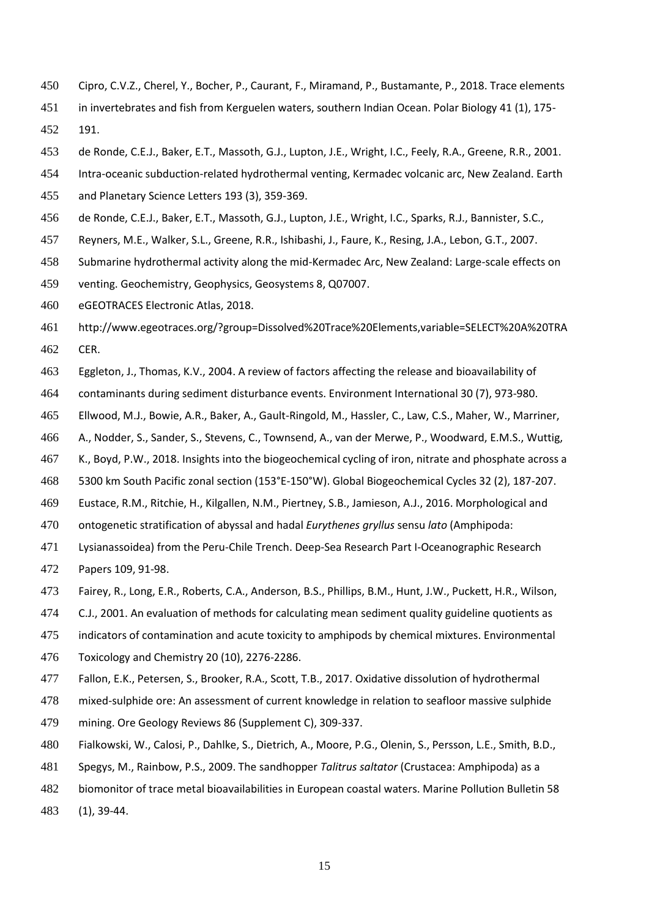- Cipro, C.V.Z., Cherel, Y., Bocher, P., Caurant, F., Miramand, P., Bustamante, P., 2018. Trace elements
- in invertebrates and fish from Kerguelen waters, southern Indian Ocean. Polar Biology 41 (1), 175- 191.
- de Ronde, C.E.J., Baker, E.T., Massoth, G.J., Lupton, J.E., Wright, I.C., Feely, R.A., Greene, R.R., 2001.
- Intra-oceanic subduction-related hydrothermal venting, Kermadec volcanic arc, New Zealand. Earth and Planetary Science Letters 193 (3), 359-369.
- de Ronde, C.E.J., Baker, E.T., Massoth, G.J., Lupton, J.E., Wright, I.C., Sparks, R.J., Bannister, S.C.,
- Reyners, M.E., Walker, S.L., Greene, R.R., Ishibashi, J., Faure, K., Resing, J.A., Lebon, G.T., 2007.
- Submarine hydrothermal activity along the mid-Kermadec Arc, New Zealand: Large-scale effects on
- venting. Geochemistry, Geophysics, Geosystems 8, Q07007.
- eGEOTRACES Electronic Atlas, 2018.
- http://www.egeotraces.org/?group=Dissolved%20Trace%20Elements,variable=SELECT%20A%20TRA CER.
- Eggleton, J., Thomas, K.V., 2004. A review of factors affecting the release and bioavailability of
- contaminants during sediment disturbance events. Environment International 30 (7), 973-980.
- Ellwood, M.J., Bowie, A.R., Baker, A., Gault-Ringold, M., Hassler, C., Law, C.S., Maher, W., Marriner,
- A., Nodder, S., Sander, S., Stevens, C., Townsend, A., van der Merwe, P., Woodward, E.M.S., Wuttig,
- K., Boyd, P.W., 2018. Insights into the biogeochemical cycling of iron, nitrate and phosphate across a
- 5300 km South Pacific zonal section (153°E-150°W). Global Biogeochemical Cycles 32 (2), 187-207.
- Eustace, R.M., Ritchie, H., Kilgallen, N.M., Piertney, S.B., Jamieson, A.J., 2016. Morphological and
- ontogenetic stratification of abyssal and hadal *Eurythenes gryllus* sensu *lato* (Amphipoda:
- Lysianassoidea) from the Peru-Chile Trench. Deep-Sea Research Part I-Oceanographic Research
- Papers 109, 91-98.
- Fairey, R., Long, E.R., Roberts, C.A., Anderson, B.S., Phillips, B.M., Hunt, J.W., Puckett, H.R., Wilson,
- C.J., 2001. An evaluation of methods for calculating mean sediment quality guideline quotients as
- 475 indicators of contamination and acute toxicity to amphipods by chemical mixtures. Environmental
- Toxicology and Chemistry 20 (10), 2276-2286.
- Fallon, E.K., Petersen, S., Brooker, R.A., Scott, T.B., 2017. Oxidative dissolution of hydrothermal
- mixed-sulphide ore: An assessment of current knowledge in relation to seafloor massive sulphide
- mining. Ore Geology Reviews 86 (Supplement C), 309-337.
- Fialkowski, W., Calosi, P., Dahlke, S., Dietrich, A., Moore, P.G., Olenin, S., Persson, L.E., Smith, B.D.,
- Spegys, M., Rainbow, P.S., 2009. The sandhopper *Talitrus saltator* (Crustacea: Amphipoda) as a
- biomonitor of trace metal bioavailabilities in European coastal waters. Marine Pollution Bulletin 58
- (1), 39-44.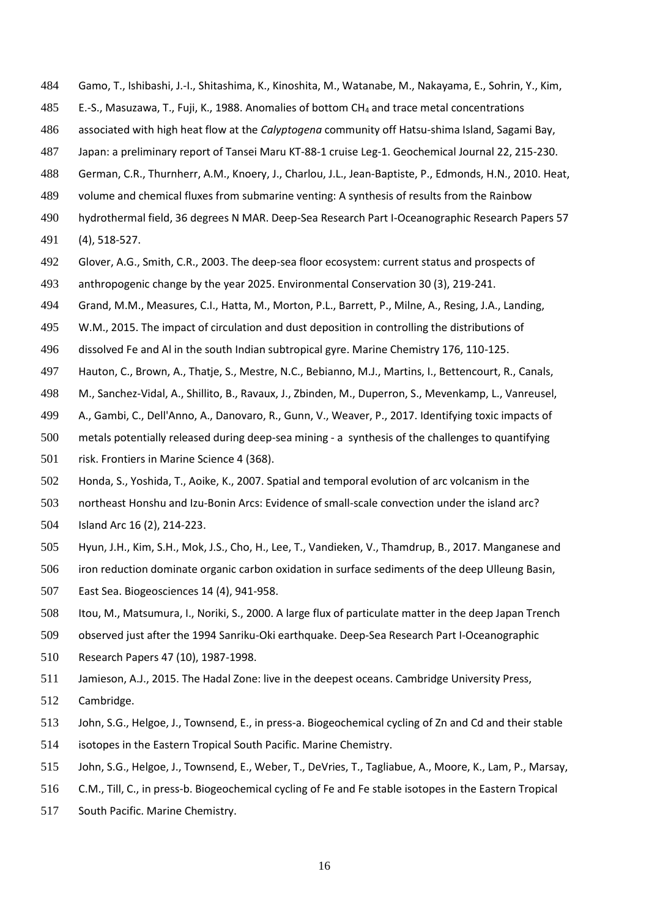- Gamo, T., Ishibashi, J.-I., Shitashima, K., Kinoshita, M., Watanabe, M., Nakayama, E., Sohrin, Y., Kim,
- E.-S., Masuzawa, T., Fuji, K., 1988. Anomalies of bottom CH<sup>4</sup> and trace metal concentrations
- associated with high heat flow at the *Calyptogena* community off Hatsu-shima Island, Sagami Bay,
- Japan: a preliminary report of Tansei Maru KT-88-1 cruise Leg-1. Geochemical Journal 22, 215-230.
- German, C.R., Thurnherr, A.M., Knoery, J., Charlou, J.L., Jean-Baptiste, P., Edmonds, H.N., 2010. Heat,
- volume and chemical fluxes from submarine venting: A synthesis of results from the Rainbow
- hydrothermal field, 36 degrees N MAR. Deep-Sea Research Part I-Oceanographic Research Papers 57
- (4), 518-527.
- Glover, A.G., Smith, C.R., 2003. The deep-sea floor ecosystem: current status and prospects of
- anthropogenic change by the year 2025. Environmental Conservation 30 (3), 219-241.
- Grand, M.M., Measures, C.I., Hatta, M., Morton, P.L., Barrett, P., Milne, A., Resing, J.A., Landing,
- W.M., 2015. The impact of circulation and dust deposition in controlling the distributions of
- dissolved Fe and Al in the south Indian subtropical gyre. Marine Chemistry 176, 110-125.
- Hauton, C., Brown, A., Thatje, S., Mestre, N.C., Bebianno, M.J., Martins, I., Bettencourt, R., Canals,
- M., Sanchez-Vidal, A., Shillito, B., Ravaux, J., Zbinden, M., Duperron, S., Mevenkamp, L., Vanreusel,
- A., Gambi, C., Dell'Anno, A., Danovaro, R., Gunn, V., Weaver, P., 2017. Identifying toxic impacts of
- metals potentially released during deep-sea mining a synthesis of the challenges to quantifying
- risk. Frontiers in Marine Science 4 (368).
- Honda, S., Yoshida, T., Aoike, K., 2007. Spatial and temporal evolution of arc volcanism in the
- northeast Honshu and Izu-Bonin Arcs: Evidence of small-scale convection under the island arc?
- Island Arc 16 (2), 214-223.
- Hyun, J.H., Kim, S.H., Mok, J.S., Cho, H., Lee, T., Vandieken, V., Thamdrup, B., 2017. Manganese and
- iron reduction dominate organic carbon oxidation in surface sediments of the deep Ulleung Basin,
- East Sea. Biogeosciences 14 (4), 941-958.
- Itou, M., Matsumura, I., Noriki, S., 2000. A large flux of particulate matter in the deep Japan Trench
- observed just after the 1994 Sanriku-Oki earthquake. Deep-Sea Research Part I-Oceanographic
- Research Papers 47 (10), 1987-1998.
- Jamieson, A.J., 2015. The Hadal Zone: live in the deepest oceans. Cambridge University Press,
- Cambridge.
- John, S.G., Helgoe, J., Townsend, E., in press-a. Biogeochemical cycling of Zn and Cd and their stable
- isotopes in the Eastern Tropical South Pacific. Marine Chemistry.
- John, S.G., Helgoe, J., Townsend, E., Weber, T., DeVries, T., Tagliabue, A., Moore, K., Lam, P., Marsay,
- C.M., Till, C., in press-b. Biogeochemical cycling of Fe and Fe stable isotopes in the Eastern Tropical
- South Pacific. Marine Chemistry.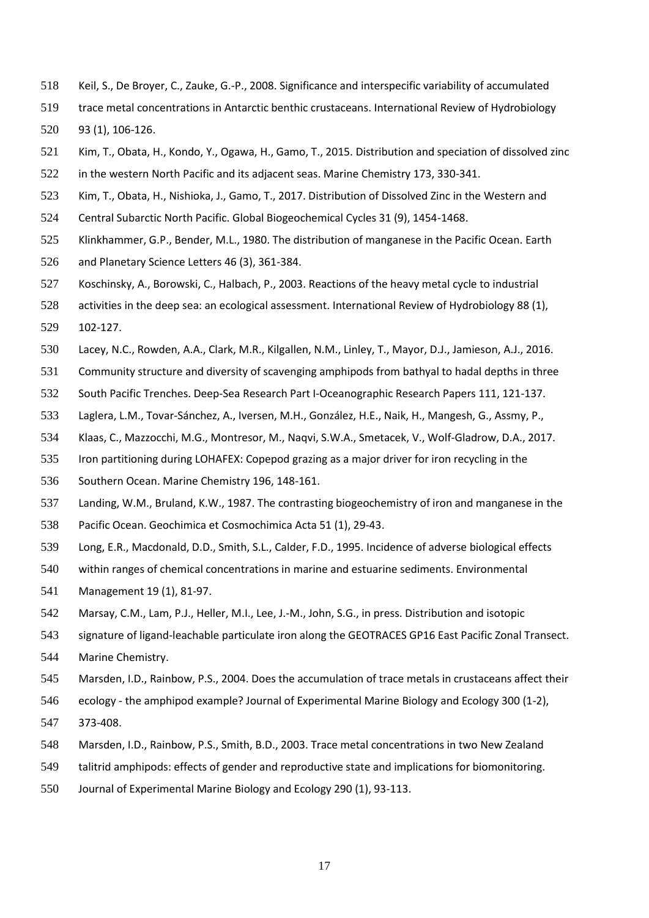- Keil, S., De Broyer, C., Zauke, G.-P., 2008. Significance and interspecific variability of accumulated
- trace metal concentrations in Antarctic benthic crustaceans. International Review of Hydrobiology 93 (1), 106-126.
- Kim, T., Obata, H., Kondo, Y., Ogawa, H., Gamo, T., 2015. Distribution and speciation of dissolved zinc
- in the western North Pacific and its adjacent seas. Marine Chemistry 173, 330-341.
- Kim, T., Obata, H., Nishioka, J., Gamo, T., 2017. Distribution of Dissolved Zinc in the Western and
- Central Subarctic North Pacific. Global Biogeochemical Cycles 31 (9), 1454-1468.
- Klinkhammer, G.P., Bender, M.L., 1980. The distribution of manganese in the Pacific Ocean. Earth
- and Planetary Science Letters 46 (3), 361-384.
- Koschinsky, A., Borowski, C., Halbach, P., 2003. Reactions of the heavy metal cycle to industrial
- activities in the deep sea: an ecological assessment. International Review of Hydrobiology 88 (1),
- 102-127.
- Lacey, N.C., Rowden, A.A., Clark, M.R., Kilgallen, N.M., Linley, T., Mayor, D.J., Jamieson, A.J., 2016.
- Community structure and diversity of scavenging amphipods from bathyal to hadal depths in three
- South Pacific Trenches. Deep-Sea Research Part I-Oceanographic Research Papers 111, 121-137.
- Laglera, L.M., Tovar-Sánchez, A., Iversen, M.H., González, H.E., Naik, H., Mangesh, G., Assmy, P.,
- Klaas, C., Mazzocchi, M.G., Montresor, M., Naqvi, S.W.A., Smetacek, V., Wolf-Gladrow, D.A., 2017.
- Iron partitioning during LOHAFEX: Copepod grazing as a major driver for iron recycling in the
- Southern Ocean. Marine Chemistry 196, 148-161.
- Landing, W.M., Bruland, K.W., 1987. The contrasting biogeochemistry of iron and manganese in the
- Pacific Ocean. Geochimica et Cosmochimica Acta 51 (1), 29-43.
- Long, E.R., Macdonald, D.D., Smith, S.L., Calder, F.D., 1995. Incidence of adverse biological effects
- within ranges of chemical concentrations in marine and estuarine sediments. Environmental
- Management 19 (1), 81-97.
- Marsay, C.M., Lam, P.J., Heller, M.I., Lee, J.-M., John, S.G., in press. Distribution and isotopic
- signature of ligand-leachable particulate iron along the GEOTRACES GP16 East Pacific Zonal Transect.
- Marine Chemistry.
- Marsden, I.D., Rainbow, P.S., 2004. Does the accumulation of trace metals in crustaceans affect their
- ecology the amphipod example? Journal of Experimental Marine Biology and Ecology 300 (1-2),
- 373-408.
- Marsden, I.D., Rainbow, P.S., Smith, B.D., 2003. Trace metal concentrations in two New Zealand
- talitrid amphipods: effects of gender and reproductive state and implications for biomonitoring.
- Journal of Experimental Marine Biology and Ecology 290 (1), 93-113.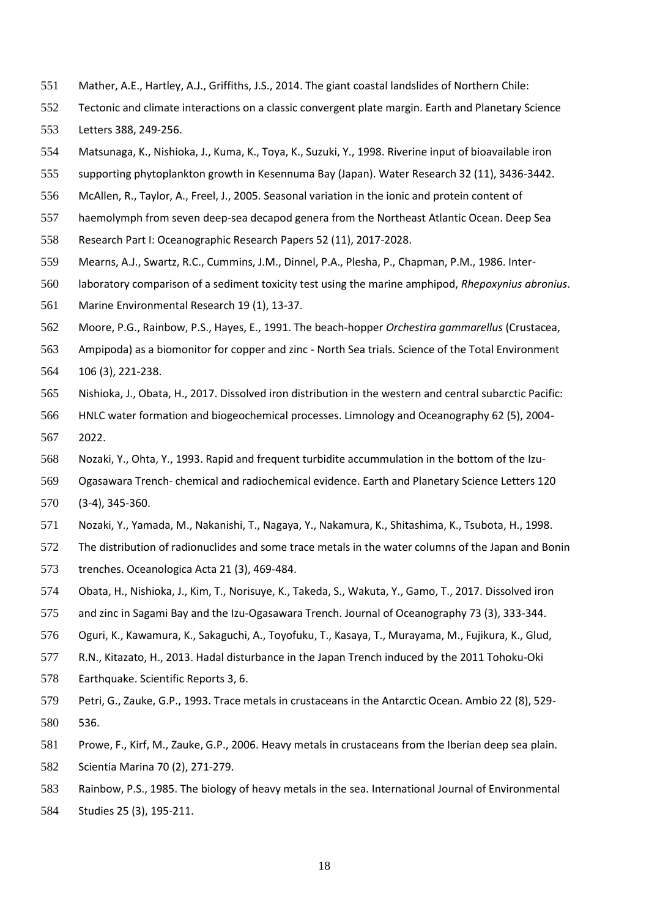- Mather, A.E., Hartley, A.J., Griffiths, J.S., 2014. The giant coastal landslides of Northern Chile:
- Tectonic and climate interactions on a classic convergent plate margin. Earth and Planetary Science
- Letters 388, 249-256.
- Matsunaga, K., Nishioka, J., Kuma, K., Toya, K., Suzuki, Y., 1998. Riverine input of bioavailable iron
- supporting phytoplankton growth in Kesennuma Bay (Japan). Water Research 32 (11), 3436-3442.
- McAllen, R., Taylor, A., Freel, J., 2005. Seasonal variation in the ionic and protein content of
- haemolymph from seven deep-sea decapod genera from the Northeast Atlantic Ocean. Deep Sea
- Research Part I: Oceanographic Research Papers 52 (11), 2017-2028.
- Mearns, A.J., Swartz, R.C., Cummins, J.M., Dinnel, P.A., Plesha, P., Chapman, P.M., 1986. Inter-
- laboratory comparison of a sediment toxicity test using the marine amphipod, *Rhepoxynius abronius*.
- Marine Environmental Research 19 (1), 13-37.
- Moore, P.G., Rainbow, P.S., Hayes, E., 1991. The beach-hopper *Orchestira gammarellus* (Crustacea,
- Ampipoda) as a biomonitor for copper and zinc North Sea trials. Science of the Total Environment
- 106 (3), 221-238.
- Nishioka, J., Obata, H., 2017. Dissolved iron distribution in the western and central subarctic Pacific:
- HNLC water formation and biogeochemical processes. Limnology and Oceanography 62 (5), 2004- 2022.
- Nozaki, Y., Ohta, Y., 1993. Rapid and frequent turbidite accummulation in the bottom of the Izu-
- Ogasawara Trench- chemical and radiochemical evidence. Earth and Planetary Science Letters 120
- (3-4), 345-360.
- Nozaki, Y., Yamada, M., Nakanishi, T., Nagaya, Y., Nakamura, K., Shitashima, K., Tsubota, H., 1998.
- The distribution of radionuclides and some trace metals in the water columns of the Japan and Bonin
- trenches. Oceanologica Acta 21 (3), 469-484.
- Obata, H., Nishioka, J., Kim, T., Norisuye, K., Takeda, S., Wakuta, Y., Gamo, T., 2017. Dissolved iron
- and zinc in Sagami Bay and the Izu-Ogasawara Trench. Journal of Oceanography 73 (3), 333-344.
- Oguri, K., Kawamura, K., Sakaguchi, A., Toyofuku, T., Kasaya, T., Murayama, M., Fujikura, K., Glud,
- R.N., Kitazato, H., 2013. Hadal disturbance in the Japan Trench induced by the 2011 Tohoku-Oki
- Earthquake. Scientific Reports 3, 6.
- Petri, G., Zauke, G.P., 1993. Trace metals in crustaceans in the Antarctic Ocean. Ambio 22 (8), 529- 536.
- Prowe, F., Kirf, M., Zauke, G.P., 2006. Heavy metals in crustaceans from the Iberian deep sea plain.
- Scientia Marina 70 (2), 271-279.
- Rainbow, P.S., 1985. The biology of heavy metals in the sea. International Journal of Environmental
- Studies 25 (3), 195-211.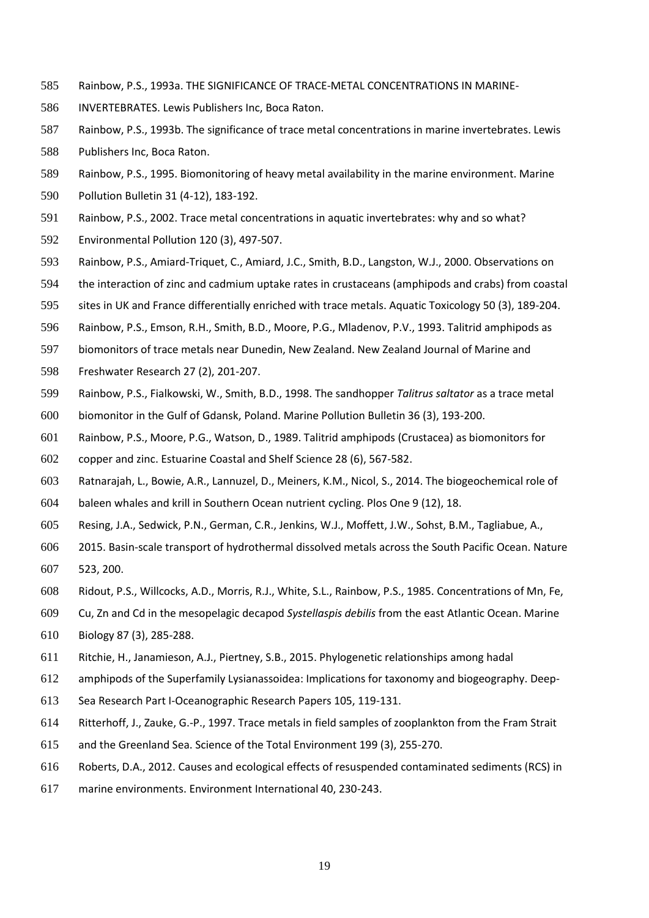- Rainbow, P.S., 1993a. THE SIGNIFICANCE OF TRACE-METAL CONCENTRATIONS IN MARINE-
- INVERTEBRATES. Lewis Publishers Inc, Boca Raton.
- Rainbow, P.S., 1993b. The significance of trace metal concentrations in marine invertebrates. Lewis
- Publishers Inc, Boca Raton.
- Rainbow, P.S., 1995. Biomonitoring of heavy metal availability in the marine environment. Marine
- Pollution Bulletin 31 (4-12), 183-192.
- Rainbow, P.S., 2002. Trace metal concentrations in aquatic invertebrates: why and so what?
- Environmental Pollution 120 (3), 497-507.
- Rainbow, P.S., Amiard-Triquet, C., Amiard, J.C., Smith, B.D., Langston, W.J., 2000. Observations on
- the interaction of zinc and cadmium uptake rates in crustaceans (amphipods and crabs) from coastal
- sites in UK and France differentially enriched with trace metals. Aquatic Toxicology 50 (3), 189-204.
- Rainbow, P.S., Emson, R.H., Smith, B.D., Moore, P.G., Mladenov, P.V., 1993. Talitrid amphipods as
- biomonitors of trace metals near Dunedin, New Zealand. New Zealand Journal of Marine and
- Freshwater Research 27 (2), 201-207.
- Rainbow, P.S., Fialkowski, W., Smith, B.D., 1998. The sandhopper *Talitrus saltator* as a trace metal
- biomonitor in the Gulf of Gdansk, Poland. Marine Pollution Bulletin 36 (3), 193-200.
- Rainbow, P.S., Moore, P.G., Watson, D., 1989. Talitrid amphipods (Crustacea) as biomonitors for
- copper and zinc. Estuarine Coastal and Shelf Science 28 (6), 567-582.
- Ratnarajah, L., Bowie, A.R., Lannuzel, D., Meiners, K.M., Nicol, S., 2014. The biogeochemical role of
- baleen whales and krill in Southern Ocean nutrient cycling. Plos One 9 (12), 18.
- Resing, J.A., Sedwick, P.N., German, C.R., Jenkins, W.J., Moffett, J.W., Sohst, B.M., Tagliabue, A.,
- 2015. Basin-scale transport of hydrothermal dissolved metals across the South Pacific Ocean. Nature 523, 200.
- Ridout, P.S., Willcocks, A.D., Morris, R.J., White, S.L., Rainbow, P.S., 1985. Concentrations of Mn, Fe,
- Cu, Zn and Cd in the mesopelagic decapod *Systellaspis debilis* from the east Atlantic Ocean. Marine
- Biology 87 (3), 285-288.
- Ritchie, H., Janamieson, A.J., Piertney, S.B., 2015. Phylogenetic relationships among hadal
- amphipods of the Superfamily Lysianassoidea: Implications for taxonomy and biogeography. Deep-
- Sea Research Part I-Oceanographic Research Papers 105, 119-131.
- Ritterhoff, J., Zauke, G.-P., 1997. Trace metals in field samples of zooplankton from the Fram Strait
- and the Greenland Sea. Science of the Total Environment 199 (3), 255-270.
- Roberts, D.A., 2012. Causes and ecological effects of resuspended contaminated sediments (RCS) in
- marine environments. Environment International 40, 230-243.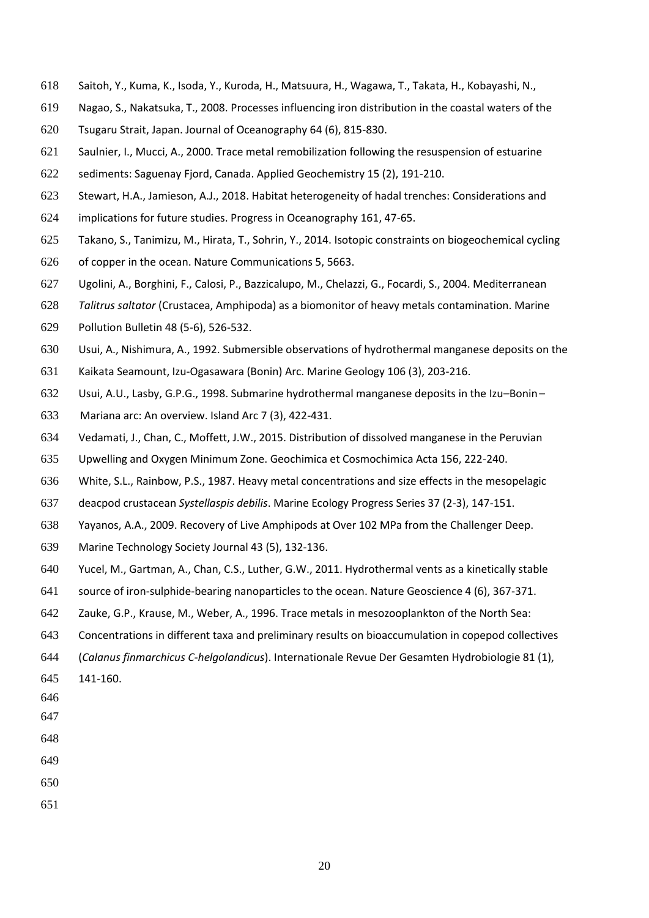- Saitoh, Y., Kuma, K., Isoda, Y., Kuroda, H., Matsuura, H., Wagawa, T., Takata, H., Kobayashi, N.,
- Nagao, S., Nakatsuka, T., 2008. Processes influencing iron distribution in the coastal waters of the
- Tsugaru Strait, Japan. Journal of Oceanography 64 (6), 815-830.
- Saulnier, I., Mucci, A., 2000. Trace metal remobilization following the resuspension of estuarine
- sediments: Saguenay Fjord, Canada. Applied Geochemistry 15 (2), 191-210.
- Stewart, H.A., Jamieson, A.J., 2018. Habitat heterogeneity of hadal trenches: Considerations and
- implications for future studies. Progress in Oceanography 161, 47-65.
- Takano, S., Tanimizu, M., Hirata, T., Sohrin, Y., 2014. Isotopic constraints on biogeochemical cycling
- of copper in the ocean. Nature Communications 5, 5663.
- Ugolini, A., Borghini, F., Calosi, P., Bazzicalupo, M., Chelazzi, G., Focardi, S., 2004. Mediterranean
- *Talitrus saltator* (Crustacea, Amphipoda) as a biomonitor of heavy metals contamination. Marine
- Pollution Bulletin 48 (5-6), 526-532.
- Usui, A., Nishimura, A., 1992. Submersible observations of hydrothermal manganese deposits on the
- Kaikata Seamount, Izu-Ogasawara (Bonin) Arc. Marine Geology 106 (3), 203-216.
- Usui, A.U., Lasby, G.P.G., 1998. Submarine hydrothermal manganese deposits in the Izu–Bonin –
- Mariana arc: An overview. Island Arc 7 (3), 422-431.
- Vedamati, J., Chan, C., Moffett, J.W., 2015. Distribution of dissolved manganese in the Peruvian
- Upwelling and Oxygen Minimum Zone. Geochimica et Cosmochimica Acta 156, 222-240.
- White, S.L., Rainbow, P.S., 1987. Heavy metal concentrations and size effects in the mesopelagic
- deacpod crustacean *Systellaspis debilis*. Marine Ecology Progress Series 37 (2-3), 147-151.
- Yayanos, A.A., 2009. Recovery of Live Amphipods at Over 102 MPa from the Challenger Deep.
- Marine Technology Society Journal 43 (5), 132-136.
- Yucel, M., Gartman, A., Chan, C.S., Luther, G.W., 2011. Hydrothermal vents as a kinetically stable
- source of iron-sulphide-bearing nanoparticles to the ocean. Nature Geoscience 4 (6), 367-371.
- Zauke, G.P., Krause, M., Weber, A., 1996. Trace metals in mesozooplankton of the North Sea:
- Concentrations in different taxa and preliminary results on bioaccumulation in copepod collectives
- (*Calanus finmarchicus C-helgolandicus*). Internationale Revue Der Gesamten Hydrobiologie 81 (1),
- 141-160.
- 
- 
- 
- 
- 
-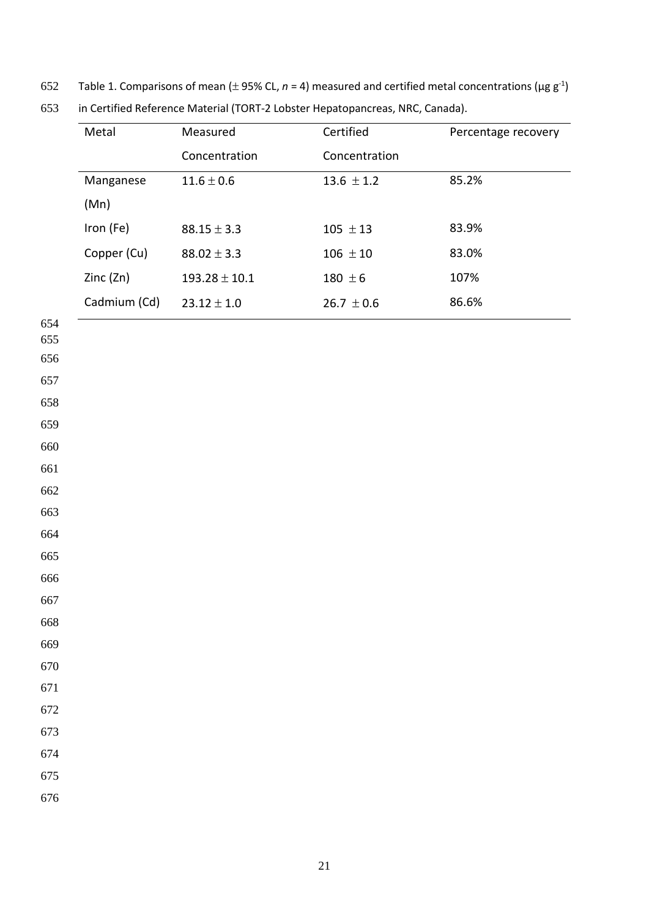652 Table 1. Comparisons of mean ( $\pm$  95% CL, *n* = 4) measured and certified metal concentrations (μg g<sup>-1</sup>)

| Metal        | Measured        | Certified      | Percentage recovery |  |  |
|--------------|-----------------|----------------|---------------------|--|--|
|              | Concentration   | Concentration  |                     |  |  |
| Manganese    | $11.6\pm0.6$    | $13.6~\pm 1.2$ | 85.2%               |  |  |
| (Mn)         |                 |                |                     |  |  |
| Iron (Fe)    | $88.15 \pm 3.3$ | $105~\pm 13$   | 83.9%               |  |  |
| Copper (Cu)  | $88.02 \pm 3.3$ | $106~\pm 10$   | 83.0%               |  |  |
| Zinc (Zn)    | $193.28\pm10.1$ | 180 $\pm$ 6    | 107%                |  |  |
| Cadmium (Cd) | $23.12 \pm 1.0$ | 26.7 $\pm$ 0.6 | 86.6%               |  |  |
|              |                 |                |                     |  |  |
|              |                 |                |                     |  |  |
|              |                 |                |                     |  |  |
|              |                 |                |                     |  |  |
|              |                 |                |                     |  |  |
|              |                 |                |                     |  |  |
|              |                 |                |                     |  |  |
|              |                 |                |                     |  |  |
|              |                 |                |                     |  |  |
|              |                 |                |                     |  |  |
|              |                 |                |                     |  |  |
|              |                 |                |                     |  |  |
|              |                 |                |                     |  |  |
|              |                 |                |                     |  |  |
|              |                 |                |                     |  |  |
|              |                 |                |                     |  |  |
|              |                 |                |                     |  |  |
|              |                 |                |                     |  |  |
|              |                 |                |                     |  |  |
|              |                 |                |                     |  |  |
|              |                 |                |                     |  |  |
|              |                 |                |                     |  |  |

in Certified Reference Material (TORT-2 Lobster Hepatopancreas, NRC, Canada).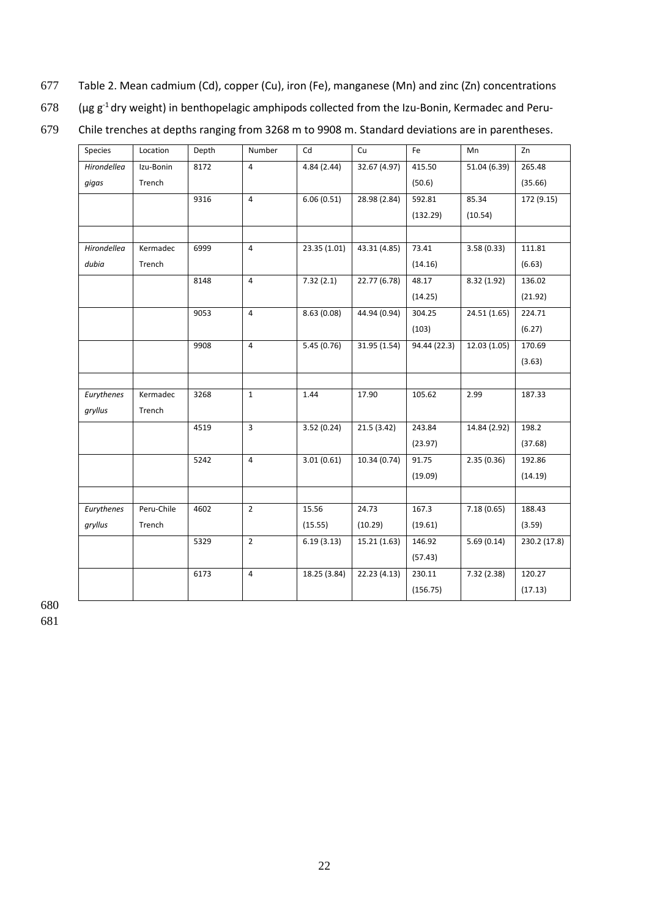- 677 Table 2. Mean cadmium (Cd), copper (Cu), iron (Fe), manganese (Mn) and zinc (Zn) concentrations
- 678  $\mu$ g g<sup>-1</sup> dry weight) in benthopelagic amphipods collected from the Izu-Bonin, Kermadec and Peru-

679 Chile trenches at depths ranging from 3268 m to 9908 m. Standard deviations are in parentheses.

| Species     | Location   | Depth | Number         | Cd           | Cu           | Fe          | Mn           | Zn           |
|-------------|------------|-------|----------------|--------------|--------------|-------------|--------------|--------------|
| Hirondellea | Izu-Bonin  | 8172  | 4              | 4.84(2.44)   | 32.67 (4.97) | 415.50      | 51.04 (6.39) | 265.48       |
| gigas       | Trench     |       |                |              |              | (50.6)      |              | (35.66)      |
|             |            | 9316  | $\sqrt{4}$     | 6.06(0.51)   | 28.98 (2.84) | 592.81      | 85.34        | 172 (9.15)   |
|             |            |       |                |              |              | (132.29)    | (10.54)      |              |
|             |            |       |                |              |              |             |              |              |
| Hirondellea | Kermadec   | 6999  | $\sqrt{4}$     | 23.35(1.01)  | 43.31 (4.85) | 73.41       | 3.58(0.33)   | 111.81       |
| dubia       | Trench     |       |                |              |              | (14.16)     |              | (6.63)       |
|             |            | 8148  | 4              | 7.32(2.1)    | 22.77 (6.78) | 48.17       | 8.32 (1.92)  | 136.02       |
|             |            |       |                |              |              | (14.25)     |              | (21.92)      |
|             |            | 9053  | $\overline{4}$ | 8.63(0.08)   | 44.94 (0.94) | 304.25      | 24.51 (1.65) | 224.71       |
|             |            |       |                |              |              | (103)       |              | (6.27)       |
|             |            | 9908  | $\overline{4}$ | 5.45(0.76)   | 31.95(1.54)  | 94.44(22.3) | 12.03(1.05)  | 170.69       |
|             |            |       |                |              |              |             |              | (3.63)       |
|             |            |       |                |              |              |             |              |              |
| Eurythenes  | Kermadec   | 3268  | $\mathbf{1}$   | 1.44         | 17.90        | 105.62      | 2.99         | 187.33       |
| gryllus     | Trench     |       |                |              |              |             |              |              |
|             |            | 4519  | 3              | 3.52(0.24)   | 21.5(3.42)   | 243.84      | 14.84 (2.92) | 198.2        |
|             |            |       |                |              |              | (23.97)     |              | (37.68)      |
|             |            | 5242  | 4              | 3.01(0.61)   | 10.34 (0.74) | 91.75       | 2.35(0.36)   | 192.86       |
|             |            |       |                |              |              | (19.09)     |              | (14.19)      |
|             |            |       |                |              |              |             |              |              |
| Eurythenes  | Peru-Chile | 4602  | $\overline{2}$ | 15.56        | 24.73        | 167.3       | 7.18(0.65)   | 188.43       |
| gryllus     | Trench     |       |                | (15.55)      | (10.29)      | (19.61)     |              | (3.59)       |
|             |            | 5329  | $\overline{2}$ | 6.19(3.13)   | 15.21 (1.63) | 146.92      | 5.69(0.14)   | 230.2 (17.8) |
|             |            |       |                |              |              | (57.43)     |              |              |
|             |            | 6173  | $\overline{4}$ | 18.25 (3.84) | 22.23 (4.13) | 230.11      | 7.32 (2.38)  | 120.27       |
|             |            |       |                |              |              | (156.75)    |              | (17.13)      |

680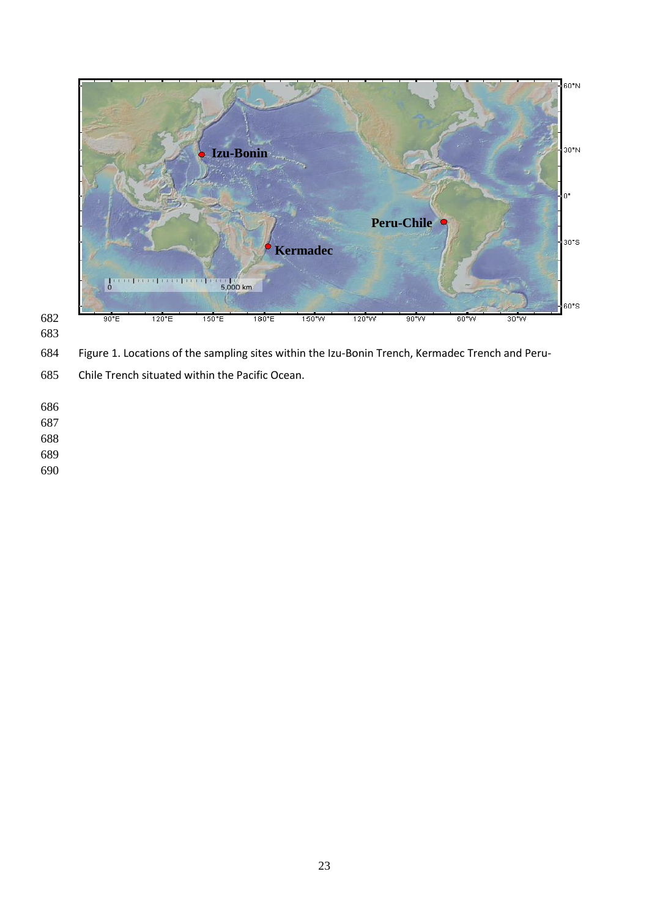

Figure 1. Locations of the sampling sites within the Izu-Bonin Trench, Kermadec Trench and Peru-

Chile Trench situated within the Pacific Ocean.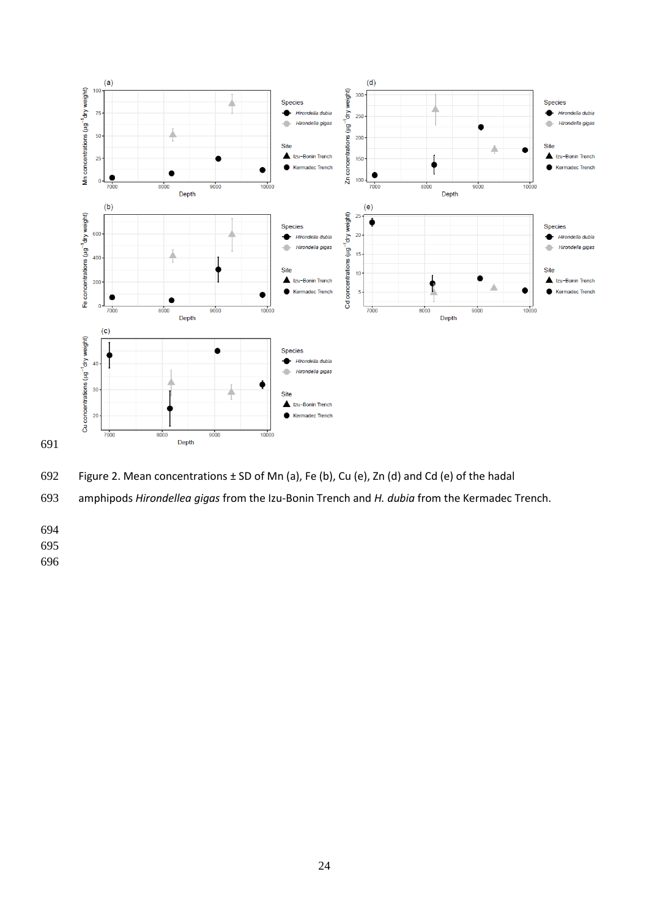

692 Figure 2. Mean concentrations  $\pm$  SD of Mn (a), Fe (b), Cu (e), Zn (d) and Cd (e) of the hadal

amphipods *Hirondellea gigas* from the Izu-Bonin Trench and *H. dubia* from the Kermadec Trench.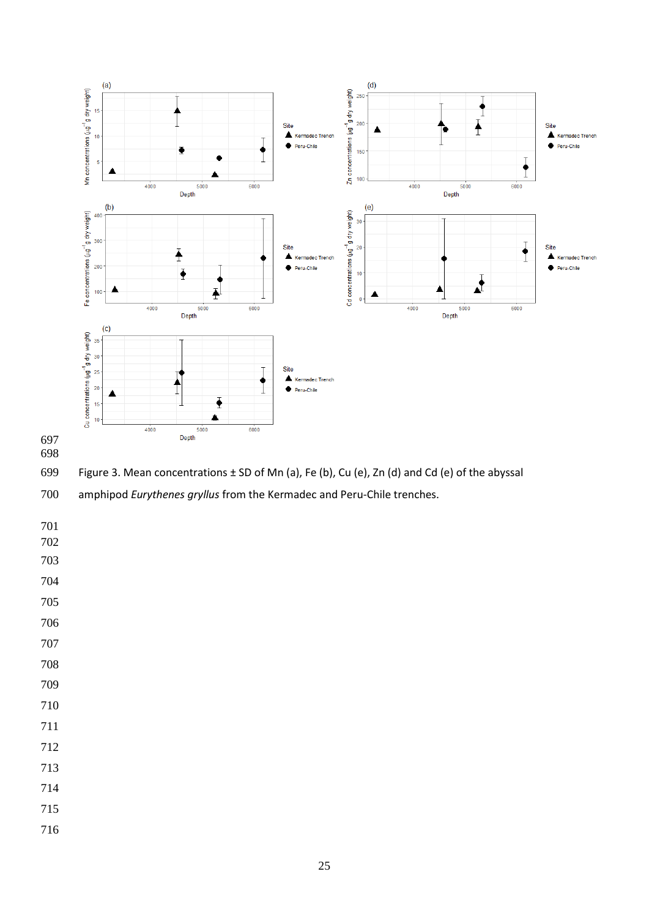

 

- 
- 
- 
- 
- 
- 
- 
- 
- 
- 
-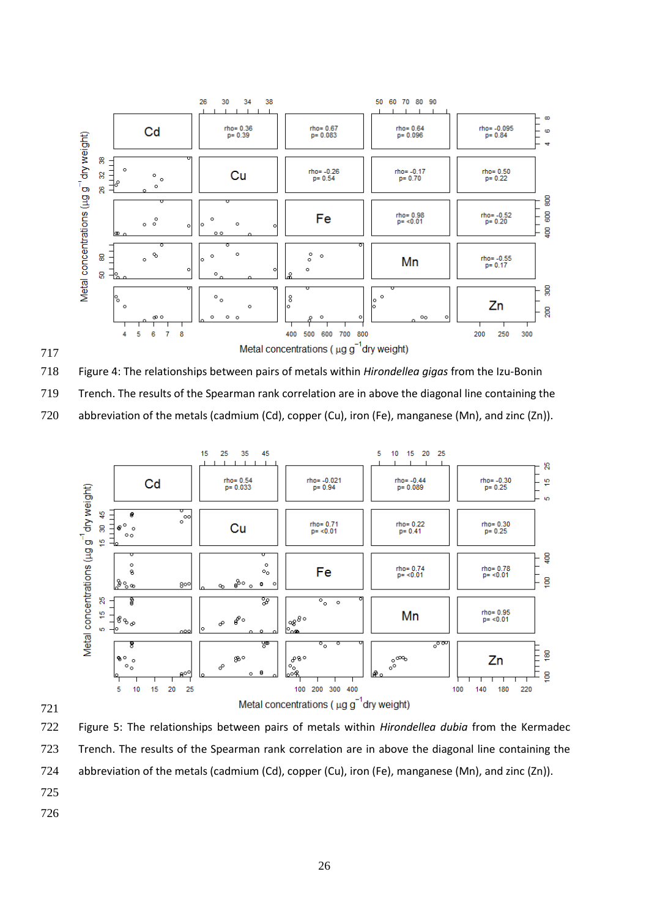



Figure 4: The relationships between pairs of metals within *Hirondellea gigas* from the Izu-Bonin

Trench. The results of the Spearman rank correlation are in above the diagonal line containing the

720 abbreviation of the metals (cadmium (Cd), copper (Cu), iron (Fe), manganese (Mn), and zinc (Zn)).





 Figure 5: The relationships between pairs of metals within *Hirondellea dubia* from the Kermadec Trench. The results of the Spearman rank correlation are in above the diagonal line containing the abbreviation of the metals (cadmium (Cd), copper (Cu), iron (Fe), manganese (Mn), and zinc (Zn)).

- 
-